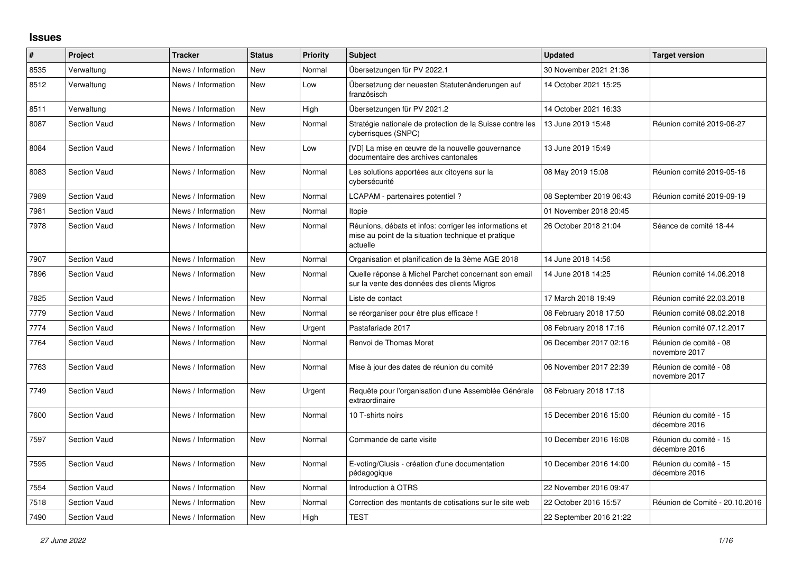## **Issues**

| $\vert$ # | Project             | <b>Tracker</b>     | <b>Status</b> | <b>Priority</b> | <b>Subject</b>                                                                                                             | <b>Updated</b>          | <b>Target version</b>                   |
|-----------|---------------------|--------------------|---------------|-----------------|----------------------------------------------------------------------------------------------------------------------------|-------------------------|-----------------------------------------|
| 8535      | Verwaltung          | News / Information | New           | Normal          | Übersetzungen für PV 2022.1                                                                                                | 30 November 2021 21:36  |                                         |
| 8512      | Verwaltung          | News / Information | New           | Low             | Übersetzung der neuesten Statutenänderungen auf<br>französisch                                                             | 14 October 2021 15:25   |                                         |
| 8511      | Verwaltung          | News / Information | <b>New</b>    | High            | Übersetzungen für PV 2021.2                                                                                                | 14 October 2021 16:33   |                                         |
| 8087      | <b>Section Vaud</b> | News / Information | <b>New</b>    | Normal          | Stratégie nationale de protection de la Suisse contre les<br>cyberrisques (SNPC)                                           | 13 June 2019 15:48      | Réunion comité 2019-06-27               |
| 8084      | <b>Section Vaud</b> | News / Information | <b>New</b>    | Low             | [VD] La mise en œuvre de la nouvelle gouvernance<br>documentaire des archives cantonales                                   | 13 June 2019 15:49      |                                         |
| 8083      | <b>Section Vaud</b> | News / Information | <b>New</b>    | Normal          | Les solutions apportées aux citoyens sur la<br>cybersécurité                                                               | 08 May 2019 15:08       | Réunion comité 2019-05-16               |
| 7989      | <b>Section Vaud</b> | News / Information | New           | Normal          | LCAPAM - partenaires potentiel?                                                                                            | 08 September 2019 06:43 | Réunion comité 2019-09-19               |
| 7981      | <b>Section Vaud</b> | News / Information | New           | Normal          | Itopie                                                                                                                     | 01 November 2018 20:45  |                                         |
| 7978      | <b>Section Vaud</b> | News / Information | <b>New</b>    | Normal          | Réunions, débats et infos: corriger les informations et<br>mise au point de la situation technique et pratique<br>actuelle | 26 October 2018 21:04   | Séance de comité 18-44                  |
| 7907      | <b>Section Vaud</b> | News / Information | New           | Normal          | Organisation et planification de la 3ème AGE 2018                                                                          | 14 June 2018 14:56      |                                         |
| 7896      | <b>Section Vaud</b> | News / Information | <b>New</b>    | Normal          | Quelle réponse à Michel Parchet concernant son email<br>sur la vente des données des clients Migros                        | 14 June 2018 14:25      | Réunion comité 14.06.2018               |
| 7825      | <b>Section Vaud</b> | News / Information | New           | Normal          | Liste de contact                                                                                                           | 17 March 2018 19:49     | Réunion comité 22.03.2018               |
| 7779      | <b>Section Vaud</b> | News / Information | <b>New</b>    | Normal          | se réorganiser pour être plus efficace !                                                                                   | 08 February 2018 17:50  | Réunion comité 08.02.2018               |
| 7774      | <b>Section Vaud</b> | News / Information | New           | Urgent          | Pastafariade 2017                                                                                                          | 08 February 2018 17:16  | Réunion comité 07.12.2017               |
| 7764      | <b>Section Vaud</b> | News / Information | <b>New</b>    | Normal          | Renvoi de Thomas Moret                                                                                                     | 06 December 2017 02:16  | Réunion de comité - 08<br>novembre 2017 |
| 7763      | <b>Section Vaud</b> | News / Information | <b>New</b>    | Normal          | Mise à jour des dates de réunion du comité                                                                                 | 06 November 2017 22:39  | Réunion de comité - 08<br>novembre 2017 |
| 7749      | <b>Section Vaud</b> | News / Information | New           | Urgent          | Requête pour l'organisation d'une Assemblée Générale<br>extraordinaire                                                     | 08 February 2018 17:18  |                                         |
| 7600      | <b>Section Vaud</b> | News / Information | <b>New</b>    | Normal          | 10 T-shirts noirs                                                                                                          | 15 December 2016 15:00  | Réunion du comité - 15<br>décembre 2016 |
| 7597      | <b>Section Vaud</b> | News / Information | <b>New</b>    | Normal          | Commande de carte visite                                                                                                   | 10 December 2016 16:08  | Réunion du comité - 15<br>décembre 2016 |
| 7595      | <b>Section Vaud</b> | News / Information | <b>New</b>    | Normal          | E-voting/Clusis - création d'une documentation<br>pédagogique                                                              | 10 December 2016 14:00  | Réunion du comité - 15<br>décembre 2016 |
| 7554      | <b>Section Vaud</b> | News / Information | New           | Normal          | Introduction à OTRS                                                                                                        | 22 November 2016 09:47  |                                         |
| 7518      | <b>Section Vaud</b> | News / Information | New           | Normal          | Correction des montants de cotisations sur le site web                                                                     | 22 October 2016 15:57   | Réunion de Comité - 20.10.2016          |
| 7490      | <b>Section Vaud</b> | News / Information | New           | High            | <b>TEST</b>                                                                                                                | 22 September 2016 21:22 |                                         |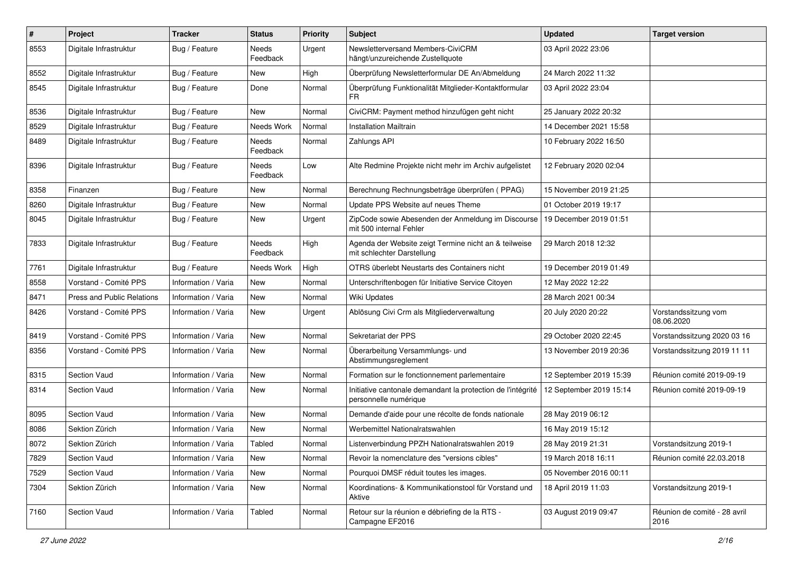| $\pmb{\#}$ | Project                           | <b>Tracker</b>      | <b>Status</b>            | <b>Priority</b> | Subject                                                                              | <b>Updated</b>          | <b>Target version</b>                |
|------------|-----------------------------------|---------------------|--------------------------|-----------------|--------------------------------------------------------------------------------------|-------------------------|--------------------------------------|
| 8553       | Digitale Infrastruktur            | Bug / Feature       | Needs<br>Feedback        | Urgent          | Newsletterversand Members-CiviCRM<br>hängt/unzureichende Zustellquote                | 03 April 2022 23:06     |                                      |
| 8552       | Digitale Infrastruktur            | Bug / Feature       | <b>New</b>               | High            | Überprüfung Newsletterformular DE An/Abmeldung                                       | 24 March 2022 11:32     |                                      |
| 8545       | Digitale Infrastruktur            | Bug / Feature       | Done                     | Normal          | Überprüfung Funktionalität Mitglieder-Kontaktformular<br><b>FR</b>                   | 03 April 2022 23:04     |                                      |
| 8536       | Digitale Infrastruktur            | Bug / Feature       | New                      | Normal          | CiviCRM: Payment method hinzufügen geht nicht                                        | 25 January 2022 20:32   |                                      |
| 8529       | Digitale Infrastruktur            | Bug / Feature       | Needs Work               | Normal          | <b>Installation Mailtrain</b>                                                        | 14 December 2021 15:58  |                                      |
| 8489       | Digitale Infrastruktur            | Bug / Feature       | Needs<br>Feedback        | Normal          | Zahlungs API                                                                         | 10 February 2022 16:50  |                                      |
| 8396       | Digitale Infrastruktur            | Bug / Feature       | Needs<br>Feedback        | Low             | Alte Redmine Projekte nicht mehr im Archiv aufgelistet                               | 12 February 2020 02:04  |                                      |
| 8358       | Finanzen                          | Bug / Feature       | New                      | Normal          | Berechnung Rechnungsbeträge überprüfen (PPAG)                                        | 15 November 2019 21:25  |                                      |
| 8260       | Digitale Infrastruktur            | Bug / Feature       | <b>New</b>               | Normal          | Update PPS Website auf neues Theme                                                   | 01 October 2019 19:17   |                                      |
| 8045       | Digitale Infrastruktur            | Bug / Feature       | New                      | Urgent          | ZipCode sowie Abesenden der Anmeldung im Discourse<br>mit 500 internal Fehler        | 19 December 2019 01:51  |                                      |
| 7833       | Digitale Infrastruktur            | Bug / Feature       | <b>Needs</b><br>Feedback | High            | Agenda der Website zeigt Termine nicht an & teilweise<br>mit schlechter Darstellung  | 29 March 2018 12:32     |                                      |
| 7761       | Digitale Infrastruktur            | Bug / Feature       | Needs Work               | High            | OTRS überlebt Neustarts des Containers nicht                                         | 19 December 2019 01:49  |                                      |
| 8558       | Vorstand - Comité PPS             | Information / Varia | New                      | Normal          | Unterschriftenbogen für Initiative Service Citoyen                                   | 12 May 2022 12:22       |                                      |
| 8471       | <b>Press and Public Relations</b> | Information / Varia | New                      | Normal          | Wiki Updates                                                                         | 28 March 2021 00:34     |                                      |
| 8426       | Vorstand - Comité PPS             | Information / Varia | <b>New</b>               | Urgent          | Ablösung Civi Crm als Mitgliederverwaltung                                           | 20 July 2020 20:22      | Vorstandssitzung vom<br>08.06.2020   |
| 8419       | Vorstand - Comité PPS             | Information / Varia | <b>New</b>               | Normal          | Sekretariat der PPS                                                                  | 29 October 2020 22:45   | Vorstandssitzung 2020 03 16          |
| 8356       | Vorstand - Comité PPS             | Information / Varia | <b>New</b>               | Normal          | Überarbeitung Versammlungs- und<br>Abstimmungsreglement                              | 13 November 2019 20:36  | Vorstandssitzung 2019 11 11          |
| 8315       | Section Vaud                      | Information / Varia | <b>New</b>               | Normal          | Formation sur le fonctionnement parlementaire                                        | 12 September 2019 15:39 | Réunion comité 2019-09-19            |
| 8314       | <b>Section Vaud</b>               | Information / Varia | New                      | Normal          | Initiative cantonale demandant la protection de l'intégrité<br>personnelle numérique | 12 September 2019 15:14 | Réunion comité 2019-09-19            |
| 8095       | Section Vaud                      | Information / Varia | <b>New</b>               | Normal          | Demande d'aide pour une récolte de fonds nationale                                   | 28 May 2019 06:12       |                                      |
| 8086       | Sektion Zürich                    | Information / Varia | New                      | Normal          | Werbemittel Nationalratswahlen                                                       | 16 May 2019 15:12       |                                      |
| 8072       | Sektion Zürich                    | Information / Varia | Tabled                   | Normal          | Listenverbindung PPZH Nationalratswahlen 2019                                        | 28 May 2019 21:31       | Vorstandsitzung 2019-1               |
| 7829       | Section Vaud                      | Information / Varia | New                      | Normal          | Revoir la nomenclature des "versions cibles"                                         | 19 March 2018 16:11     | Réunion comité 22.03.2018            |
| 7529       | Section Vaud                      | Information / Varia | New                      | Normal          | Pourquoi DMSF réduit toutes les images.                                              | 05 November 2016 00:11  |                                      |
| 7304       | Sektion Zürich                    | Information / Varia | New                      | Normal          | Koordinations- & Kommunikationstool für Vorstand und<br>Aktive                       | 18 April 2019 11:03     | Vorstandsitzung 2019-1               |
| 7160       | Section Vaud                      | Information / Varia | Tabled                   | Normal          | Retour sur la réunion e débriefing de la RTS -<br>Campagne EF2016                    | 03 August 2019 09:47    | Réunion de comité - 28 avril<br>2016 |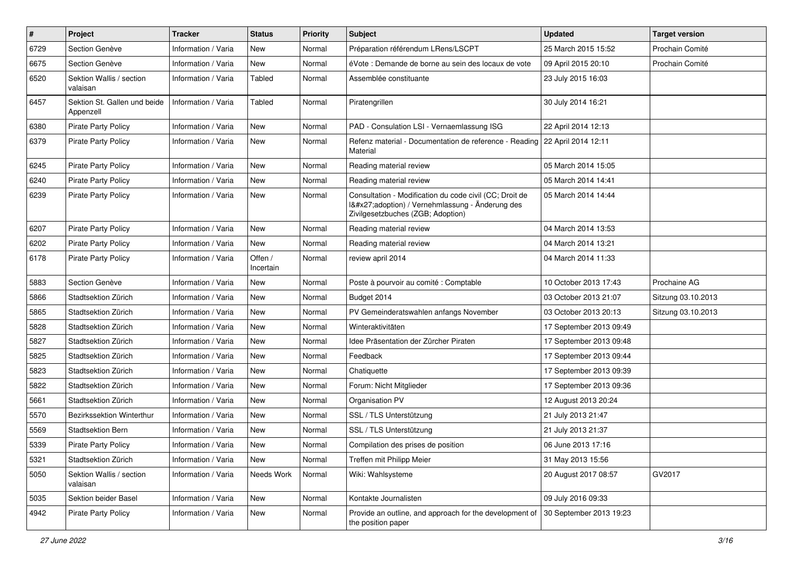| $\pmb{\#}$ | Project                                   | <b>Tracker</b>      | <b>Status</b>        | <b>Priority</b> | <b>Subject</b>                                                                                                                              | <b>Updated</b>          | <b>Target version</b> |
|------------|-------------------------------------------|---------------------|----------------------|-----------------|---------------------------------------------------------------------------------------------------------------------------------------------|-------------------------|-----------------------|
| 6729       | Section Genève                            | Information / Varia | New                  | Normal          | Préparation référendum LRens/LSCPT                                                                                                          | 25 March 2015 15:52     | Prochain Comité       |
| 6675       | Section Genève                            | Information / Varia | New                  | Normal          | éVote : Demande de borne au sein des locaux de vote                                                                                         | 09 April 2015 20:10     | Prochain Comité       |
| 6520       | Sektion Wallis / section<br>valaisan      | Information / Varia | Tabled               | Normal          | Assemblée constituante                                                                                                                      | 23 July 2015 16:03      |                       |
| 6457       | Sektion St. Gallen und beide<br>Appenzell | Information / Varia | Tabled               | Normal          | Piratengrillen                                                                                                                              | 30 July 2014 16:21      |                       |
| 6380       | <b>Pirate Party Policy</b>                | Information / Varia | New                  | Normal          | PAD - Consulation LSI - Vernaemlassung ISG                                                                                                  | 22 April 2014 12:13     |                       |
| 6379       | <b>Pirate Party Policy</b>                | Information / Varia | New                  | Normal          | Refenz material - Documentation de reference - Reading<br>Material                                                                          | 22 April 2014 12:11     |                       |
| 6245       | <b>Pirate Party Policy</b>                | Information / Varia | <b>New</b>           | Normal          | Reading material review                                                                                                                     | 05 March 2014 15:05     |                       |
| 6240       | <b>Pirate Party Policy</b>                | Information / Varia | New                  | Normal          | Reading material review                                                                                                                     | 05 March 2014 14:41     |                       |
| 6239       | <b>Pirate Party Policy</b>                | Information / Varia | New                  | Normal          | Consultation - Modification du code civil (CC; Droit de<br>I'adoption) / Vernehmlassung - Änderung des<br>Zivilgesetzbuches (ZGB; Adoption) | 05 March 2014 14:44     |                       |
| 6207       | <b>Pirate Party Policy</b>                | Information / Varia | <b>New</b>           | Normal          | Reading material review                                                                                                                     | 04 March 2014 13:53     |                       |
| 6202       | <b>Pirate Party Policy</b>                | Information / Varia | New                  | Normal          | Reading material review                                                                                                                     | 04 March 2014 13:21     |                       |
| 6178       | <b>Pirate Party Policy</b>                | Information / Varia | Offen /<br>Incertain | Normal          | review april 2014                                                                                                                           | 04 March 2014 11:33     |                       |
| 5883       | Section Genève                            | Information / Varia | New                  | Normal          | Poste à pourvoir au comité : Comptable                                                                                                      | 10 October 2013 17:43   | Prochaine AG          |
| 5866       | Stadtsektion Zürich                       | Information / Varia | <b>New</b>           | Normal          | Budget 2014                                                                                                                                 | 03 October 2013 21:07   | Sitzung 03.10.2013    |
| 5865       | Stadtsektion Zürich                       | Information / Varia | <b>New</b>           | Normal          | PV Gemeinderatswahlen anfangs November                                                                                                      | 03 October 2013 20:13   | Sitzung 03.10.2013    |
| 5828       | Stadtsektion Zürich                       | Information / Varia | <b>New</b>           | Normal          | Winteraktivitäten                                                                                                                           | 17 September 2013 09:49 |                       |
| 5827       | Stadtsektion Zürich                       | Information / Varia | <b>New</b>           | Normal          | Idee Präsentation der Zürcher Piraten                                                                                                       | 17 September 2013 09:48 |                       |
| 5825       | Stadtsektion Zürich                       | Information / Varia | New                  | Normal          | Feedback                                                                                                                                    | 17 September 2013 09:44 |                       |
| 5823       | Stadtsektion Zürich                       | Information / Varia | <b>New</b>           | Normal          | Chatiquette                                                                                                                                 | 17 September 2013 09:39 |                       |
| 5822       | Stadtsektion Zürich                       | Information / Varia | <b>New</b>           | Normal          | Forum: Nicht Mitglieder                                                                                                                     | 17 September 2013 09:36 |                       |
| 5661       | Stadtsektion Zürich                       | Information / Varia | <b>New</b>           | Normal          | Organisation PV                                                                                                                             | 12 August 2013 20:24    |                       |
| 5570       | Bezirkssektion Winterthur                 | Information / Varia | <b>New</b>           | Normal          | SSL / TLS Unterstützung                                                                                                                     | 21 July 2013 21:47      |                       |
| 5569       | Stadtsektion Bern                         | Information / Varia | <b>New</b>           | Normal          | SSL / TLS Unterstützung                                                                                                                     | 21 July 2013 21:37      |                       |
| 5339       | <b>Pirate Party Policy</b>                | Information / Varia | New                  | Normal          | Compilation des prises de position                                                                                                          | 06 June 2013 17:16      |                       |
| 5321       | Stadtsektion Zürich                       | Information / Varia | New                  | Normal          | Treffen mit Philipp Meier                                                                                                                   | 31 May 2013 15:56       |                       |
| 5050       | Sektion Wallis / section<br>valaisan      | Information / Varia | Needs Work           | Normal          | Wiki: Wahlsysteme                                                                                                                           | 20 August 2017 08:57    | GV2017                |
| 5035       | Sektion beider Basel                      | Information / Varia | New                  | Normal          | Kontakte Journalisten                                                                                                                       | 09 July 2016 09:33      |                       |
| 4942       | Pirate Party Policy                       | Information / Varia | New                  | Normal          | Provide an outline, and approach for the development of<br>the position paper                                                               | 30 September 2013 19:23 |                       |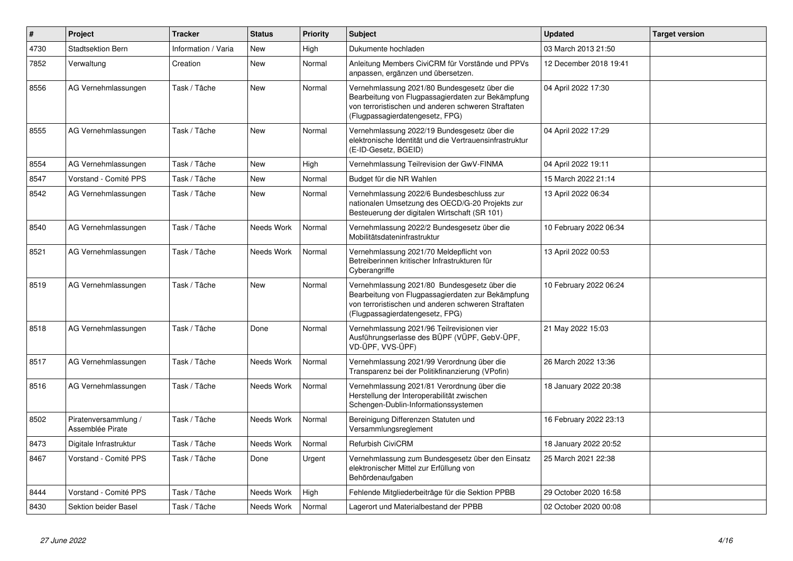| $\#$ | Project                                  | <b>Tracker</b>      | <b>Status</b> | <b>Priority</b> | <b>Subject</b>                                                                                                                                                                              | <b>Updated</b>         | <b>Target version</b> |
|------|------------------------------------------|---------------------|---------------|-----------------|---------------------------------------------------------------------------------------------------------------------------------------------------------------------------------------------|------------------------|-----------------------|
| 4730 | Stadtsektion Bern                        | Information / Varia | <b>New</b>    | High            | Dukumente hochladen                                                                                                                                                                         | 03 March 2013 21:50    |                       |
| 7852 | Verwaltung                               | Creation            | <b>New</b>    | Normal          | Anleitung Members CiviCRM für Vorstände und PPVs<br>anpassen, ergänzen und übersetzen.                                                                                                      | 12 December 2018 19:41 |                       |
| 8556 | AG Vernehmlassungen                      | Task / Tâche        | <b>New</b>    | Normal          | Vernehmlassung 2021/80 Bundesgesetz über die<br>Bearbeitung von Flugpassagierdaten zur Bekämpfung<br>von terroristischen und anderen schweren Straftaten<br>(Flugpassagierdatengesetz, FPG) | 04 April 2022 17:30    |                       |
| 8555 | AG Vernehmlassungen                      | Task / Tâche        | New           | Normal          | Vernehmlassung 2022/19 Bundesgesetz über die<br>elektronische Identität und die Vertrauensinfrastruktur<br>(E-ID-Gesetz, BGEID)                                                             | 04 April 2022 17:29    |                       |
| 8554 | AG Vernehmlassungen                      | Task / Tâche        | <b>New</b>    | High            | Vernehmlassung Teilrevision der GwV-FINMA                                                                                                                                                   | 04 April 2022 19:11    |                       |
| 8547 | Vorstand - Comité PPS                    | Task / Tâche        | <b>New</b>    | Normal          | Budget für die NR Wahlen                                                                                                                                                                    | 15 March 2022 21:14    |                       |
| 8542 | AG Vernehmlassungen                      | Task / Tâche        | <b>New</b>    | Normal          | Vernehmlassung 2022/6 Bundesbeschluss zur<br>nationalen Umsetzung des OECD/G-20 Projekts zur<br>Besteuerung der digitalen Wirtschaft (SR 101)                                               | 13 April 2022 06:34    |                       |
| 8540 | AG Vernehmlassungen                      | Task / Tâche        | Needs Work    | Normal          | Vernehmlassung 2022/2 Bundesgesetz über die<br>Mobilitätsdateninfrastruktur                                                                                                                 | 10 February 2022 06:34 |                       |
| 8521 | AG Vernehmlassungen                      | Task / Tâche        | Needs Work    | Normal          | Vernehmlassung 2021/70 Meldepflicht von<br>Betreiberinnen kritischer Infrastrukturen für<br>Cyberangriffe                                                                                   | 13 April 2022 00:53    |                       |
| 8519 | AG Vernehmlassungen                      | Task / Tâche        | <b>New</b>    | Normal          | Vernehmlassung 2021/80 Bundesgesetz über die<br>Bearbeitung von Flugpassagierdaten zur Bekämpfung<br>von terroristischen und anderen schweren Straftaten<br>(Flugpassagierdatengesetz, FPG) | 10 February 2022 06:24 |                       |
| 8518 | AG Vernehmlassungen                      | Task / Tâche        | Done          | Normal          | Vernehmlassung 2021/96 Teilrevisionen vier<br>Ausführungserlasse des BÜPF (VÜPF, GebV-ÜPF,<br>VD-ÜPF, VVS-ÜPF)                                                                              | 21 May 2022 15:03      |                       |
| 8517 | AG Vernehmlassungen                      | Task / Tâche        | Needs Work    | Normal          | Vernehmlassung 2021/99 Verordnung über die<br>Transparenz bei der Politikfinanzierung (VPofin)                                                                                              | 26 March 2022 13:36    |                       |
| 8516 | AG Vernehmlassungen                      | Task / Tâche        | Needs Work    | Normal          | Vernehmlassung 2021/81 Verordnung über die<br>Herstellung der Interoperabilität zwischen<br>Schengen-Dublin-Informationssystemen                                                            | 18 January 2022 20:38  |                       |
| 8502 | Piratenversammlung /<br>Assemblée Pirate | Task / Tâche        | Needs Work    | Normal          | Bereinigung Differenzen Statuten und<br>Versammlungsreglement                                                                                                                               | 16 February 2022 23:13 |                       |
| 8473 | Digitale Infrastruktur                   | Task / Tâche        | Needs Work    | Normal          | <b>Refurbish CiviCRM</b>                                                                                                                                                                    | 18 January 2022 20:52  |                       |
| 8467 | Vorstand - Comité PPS                    | Task / Tâche        | Done          | Urgent          | Vernehmlassung zum Bundesgesetz über den Einsatz<br>elektronischer Mittel zur Erfüllung von<br>Behördenaufgaben                                                                             | 25 March 2021 22:38    |                       |
| 8444 | Vorstand - Comité PPS                    | Task / Tâche        | Needs Work    | High            | Fehlende Mitgliederbeiträge für die Sektion PPBB                                                                                                                                            | 29 October 2020 16:58  |                       |
| 8430 | Sektion beider Basel                     | Task / Tâche        | Needs Work    | Normal          | Lagerort und Materialbestand der PPBB                                                                                                                                                       | 02 October 2020 00:08  |                       |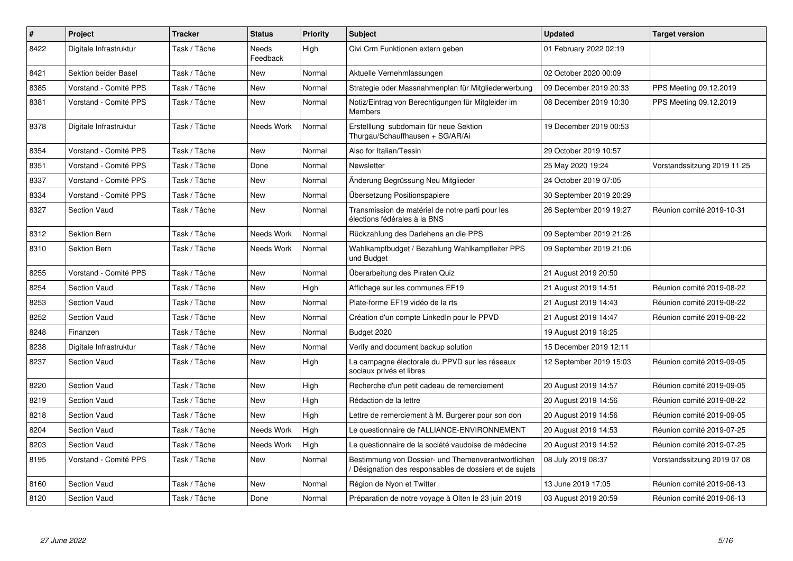| $\pmb{\#}$ | Project                | <b>Tracker</b> | <b>Status</b>     | <b>Priority</b> | <b>Subject</b>                                                                                              | <b>Updated</b>          | <b>Target version</b>       |
|------------|------------------------|----------------|-------------------|-----------------|-------------------------------------------------------------------------------------------------------------|-------------------------|-----------------------------|
| 8422       | Digitale Infrastruktur | Task / Tâche   | Needs<br>Feedback | High            | Civi Crm Funktionen extern geben                                                                            | 01 February 2022 02:19  |                             |
| 8421       | Sektion beider Basel   | Task / Tâche   | New               | Normal          | Aktuelle Vernehmlassungen                                                                                   | 02 October 2020 00:09   |                             |
| 8385       | Vorstand - Comité PPS  | Task / Tâche   | <b>New</b>        | Normal          | Strategie oder Massnahmenplan für Mitgliederwerbung                                                         | 09 December 2019 20:33  | PPS Meeting 09.12.2019      |
| 8381       | Vorstand - Comité PPS  | Task / Tâche   | <b>New</b>        | Normal          | Notiz/Eintrag von Berechtigungen für Mitgleider im<br><b>Members</b>                                        | 08 December 2019 10:30  | PPS Meeting 09.12.2019      |
| 8378       | Digitale Infrastruktur | Task / Tâche   | Needs Work        | Normal          | Erstelllung subdomain für neue Sektion<br>Thurgau/Schauffhausen + SG/AR/Ai                                  | 19 December 2019 00:53  |                             |
| 8354       | Vorstand - Comité PPS  | Task / Tâche   | New               | Normal          | Also for Italian/Tessin                                                                                     | 29 October 2019 10:57   |                             |
| 8351       | Vorstand - Comité PPS  | Task / Tâche   | Done              | Normal          | Newsletter                                                                                                  | 25 May 2020 19:24       | Vorstandssitzung 2019 11 25 |
| 8337       | Vorstand - Comité PPS  | Task / Tâche   | New               | Normal          | Änderung Begrüssung Neu Mitglieder                                                                          | 24 October 2019 07:05   |                             |
| 8334       | Vorstand - Comité PPS  | Task / Tâche   | New               | Normal          | Übersetzung Positionspapiere                                                                                | 30 September 2019 20:29 |                             |
| 8327       | <b>Section Vaud</b>    | Task / Tâche   | <b>New</b>        | Normal          | Transmission de matériel de notre parti pour les<br>élections fédérales à la BNS                            | 26 September 2019 19:27 | Réunion comité 2019-10-31   |
| 8312       | <b>Sektion Bern</b>    | Task / Tâche   | Needs Work        | Normal          | Rückzahlung des Darlehens an die PPS                                                                        | 09 September 2019 21:26 |                             |
| 8310       | Sektion Bern           | Task / Tâche   | Needs Work        | Normal          | Wahlkampfbudget / Bezahlung Wahlkampfleiter PPS<br>und Budget                                               | 09 September 2019 21:06 |                             |
| 8255       | Vorstand - Comité PPS  | Task / Tâche   | <b>New</b>        | Normal          | Überarbeitung des Piraten Quiz                                                                              | 21 August 2019 20:50    |                             |
| 8254       | <b>Section Vaud</b>    | Task / Tâche   | <b>New</b>        | High            | Affichage sur les communes EF19                                                                             | 21 August 2019 14:51    | Réunion comité 2019-08-22   |
| 8253       | <b>Section Vaud</b>    | Task / Tâche   | New               | Normal          | Plate-forme EF19 vidéo de la rts                                                                            | 21 August 2019 14:43    | Réunion comité 2019-08-22   |
| 8252       | <b>Section Vaud</b>    | Task / Tâche   | <b>New</b>        | Normal          | Création d'un compte LinkedIn pour le PPVD                                                                  | 21 August 2019 14:47    | Réunion comité 2019-08-22   |
| 8248       | Finanzen               | Task / Tâche   | New               | Normal          | Budget 2020                                                                                                 | 19 August 2019 18:25    |                             |
| 8238       | Digitale Infrastruktur | Task / Tâche   | <b>New</b>        | Normal          | Verify and document backup solution                                                                         | 15 December 2019 12:11  |                             |
| 8237       | <b>Section Vaud</b>    | Task / Tâche   | New               | High            | La campagne électorale du PPVD sur les réseaux<br>sociaux privés et libres                                  | 12 September 2019 15:03 | Réunion comité 2019-09-05   |
| 8220       | <b>Section Vaud</b>    | Task / Tâche   | New               | High            | Recherche d'un petit cadeau de remerciement                                                                 | 20 August 2019 14:57    | Réunion comité 2019-09-05   |
| 8219       | Section Vaud           | Task / Tâche   | New               | High            | Rédaction de la lettre                                                                                      | 20 August 2019 14:56    | Réunion comité 2019-08-22   |
| 8218       | <b>Section Vaud</b>    | Task / Tâche   | <b>New</b>        | High            | Lettre de remerciement à M. Burgerer pour son don                                                           | 20 August 2019 14:56    | Réunion comité 2019-09-05   |
| 8204       | <b>Section Vaud</b>    | Task / Tâche   | Needs Work        | High            | Le questionnaire de l'ALLIANCE-ENVIRONNEMENT                                                                | 20 August 2019 14:53    | Réunion comité 2019-07-25   |
| 8203       | <b>Section Vaud</b>    | Task / Tâche   | <b>Needs Work</b> | High            | Le questionnaire de la société vaudoise de médecine                                                         | 20 August 2019 14:52    | Réunion comité 2019-07-25   |
| 8195       | Vorstand - Comité PPS  | Task / Tâche   | New               | Normal          | Bestimmung von Dossier- und Themenverantwortlichen<br>Désignation des responsables de dossiers et de sujets | 08 July 2019 08:37      | Vorstandssitzung 2019 07 08 |
| 8160       | Section Vaud           | Task / Tâche   | <b>New</b>        | Normal          | Région de Nyon et Twitter                                                                                   | 13 June 2019 17:05      | Réunion comité 2019-06-13   |
| 8120       | <b>Section Vaud</b>    | Task / Tâche   | Done              | Normal          | Préparation de notre voyage à Olten le 23 juin 2019                                                         | 03 August 2019 20:59    | Réunion comité 2019-06-13   |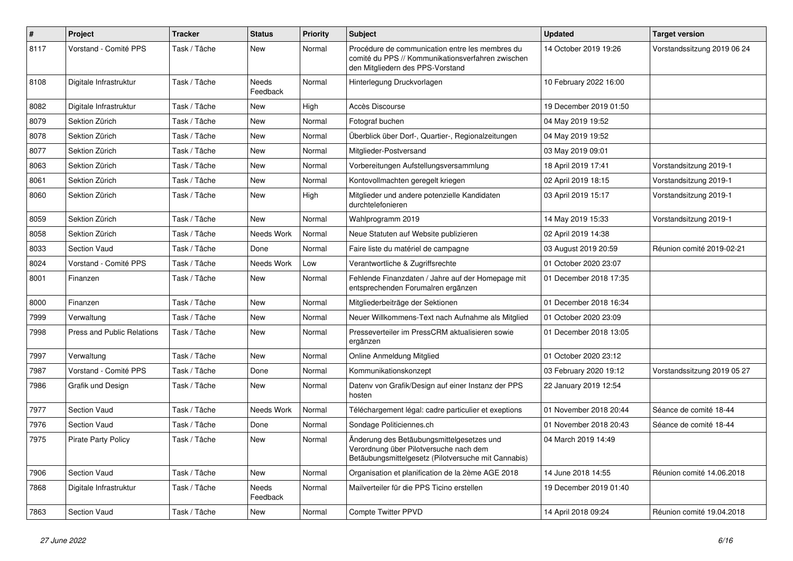| $\pmb{\#}$ | Project                           | <b>Tracker</b> | <b>Status</b>     | <b>Priority</b> | <b>Subject</b>                                                                                                                             | <b>Updated</b>         | <b>Target version</b>       |
|------------|-----------------------------------|----------------|-------------------|-----------------|--------------------------------------------------------------------------------------------------------------------------------------------|------------------------|-----------------------------|
| 8117       | Vorstand - Comité PPS             | Task / Tâche   | New               | Normal          | Procédure de communication entre les membres du<br>comité du PPS // Kommunikationsverfahren zwischen<br>den Mitgliedern des PPS-Vorstand   | 14 October 2019 19:26  | Vorstandssitzung 2019 06 24 |
| 8108       | Digitale Infrastruktur            | Task / Tâche   | Needs<br>Feedback | Normal          | Hinterlegung Druckvorlagen                                                                                                                 | 10 February 2022 16:00 |                             |
| 8082       | Digitale Infrastruktur            | Task / Tâche   | New               | High            | Accès Discourse                                                                                                                            | 19 December 2019 01:50 |                             |
| 8079       | Sektion Zürich                    | Task / Tâche   | <b>New</b>        | Normal          | Fotograf buchen                                                                                                                            | 04 May 2019 19:52      |                             |
| 8078       | Sektion Zürich                    | Task / Tâche   | <b>New</b>        | Normal          | Überblick über Dorf-, Quartier-, Regionalzeitungen                                                                                         | 04 May 2019 19:52      |                             |
| 8077       | Sektion Zürich                    | Task / Tâche   | New               | Normal          | Mitglieder-Postversand                                                                                                                     | 03 May 2019 09:01      |                             |
| 8063       | Sektion Zürich                    | Task / Tâche   | New               | Normal          | Vorbereitungen Aufstellungsversammlung                                                                                                     | 18 April 2019 17:41    | Vorstandsitzung 2019-1      |
| 8061       | Sektion Zürich                    | Task / Tâche   | <b>New</b>        | Normal          | Kontovollmachten geregelt kriegen                                                                                                          | 02 April 2019 18:15    | Vorstandsitzung 2019-1      |
| 8060       | Sektion Zürich                    | Task / Tâche   | <b>New</b>        | High            | Mitglieder und andere potenzielle Kandidaten<br>durchtelefonieren                                                                          | 03 April 2019 15:17    | Vorstandsitzung 2019-1      |
| 8059       | Sektion Zürich                    | Task / Tâche   | <b>New</b>        | Normal          | Wahlprogramm 2019                                                                                                                          | 14 May 2019 15:33      | Vorstandsitzung 2019-1      |
| 8058       | Sektion Zürich                    | Task / Tâche   | Needs Work        | Normal          | Neue Statuten auf Website publizieren                                                                                                      | 02 April 2019 14:38    |                             |
| 8033       | <b>Section Vaud</b>               | Task / Tâche   | Done              | Normal          | Faire liste du matériel de campagne                                                                                                        | 03 August 2019 20:59   | Réunion comité 2019-02-21   |
| 8024       | Vorstand - Comité PPS             | Task / Tâche   | Needs Work        | Low             | Verantwortliche & Zugriffsrechte                                                                                                           | 01 October 2020 23:07  |                             |
| 8001       | Finanzen                          | Task / Tâche   | New               | Normal          | Fehlende Finanzdaten / Jahre auf der Homepage mit<br>entsprechenden Forumalren ergänzen                                                    | 01 December 2018 17:35 |                             |
| 8000       | Finanzen                          | Task / Tâche   | <b>New</b>        | Normal          | Mitgliederbeiträge der Sektionen                                                                                                           | 01 December 2018 16:34 |                             |
| 7999       | Verwaltung                        | Task / Tâche   | New               | Normal          | Neuer Willkommens-Text nach Aufnahme als Mitglied                                                                                          | 01 October 2020 23:09  |                             |
| 7998       | <b>Press and Public Relations</b> | Task / Tâche   | <b>New</b>        | Normal          | Presseverteiler im PressCRM aktualisieren sowie<br>ergänzen                                                                                | 01 December 2018 13:05 |                             |
| 7997       | Verwaltung                        | Task / Tâche   | <b>New</b>        | Normal          | Online Anmeldung Mitglied                                                                                                                  | 01 October 2020 23:12  |                             |
| 7987       | Vorstand - Comité PPS             | Task / Tâche   | Done              | Normal          | Kommunikationskonzept                                                                                                                      | 03 February 2020 19:12 | Vorstandssitzung 2019 05 27 |
| 7986       | Grafik und Design                 | Task / Tâche   | New               | Normal          | Datenv von Grafik/Design auf einer Instanz der PPS<br>hosten                                                                               | 22 January 2019 12:54  |                             |
| 7977       | <b>Section Vaud</b>               | Task / Tâche   | Needs Work        | Normal          | Téléchargement légal: cadre particulier et exeptions                                                                                       | 01 November 2018 20:44 | Séance de comité 18-44      |
| 7976       | <b>Section Vaud</b>               | Task / Tâche   | Done              | Normal          | Sondage Politiciennes.ch                                                                                                                   | 01 November 2018 20:43 | Séance de comité 18-44      |
| 7975       | <b>Pirate Party Policy</b>        | Task / Tâche   | <b>New</b>        | Normal          | Änderung des Betäubungsmittelgesetzes und<br>Verordnung über Pilotversuche nach dem<br>Betäubungsmittelgesetz (Pilotversuche mit Cannabis) | 04 March 2019 14:49    |                             |
| 7906       | <b>Section Vaud</b>               | Task / Tâche   | <b>New</b>        | Normal          | Organisation et planification de la 2ème AGE 2018                                                                                          | 14 June 2018 14:55     | Réunion comité 14.06.2018   |
| 7868       | Digitale Infrastruktur            | Task / Tâche   | Needs<br>Feedback | Normal          | Mailverteiler für die PPS Ticino erstellen                                                                                                 | 19 December 2019 01:40 |                             |
| 7863       | Section Vaud                      | Task / Tâche   | <b>New</b>        | Normal          | <b>Compte Twitter PPVD</b>                                                                                                                 | 14 April 2018 09:24    | Réunion comité 19.04.2018   |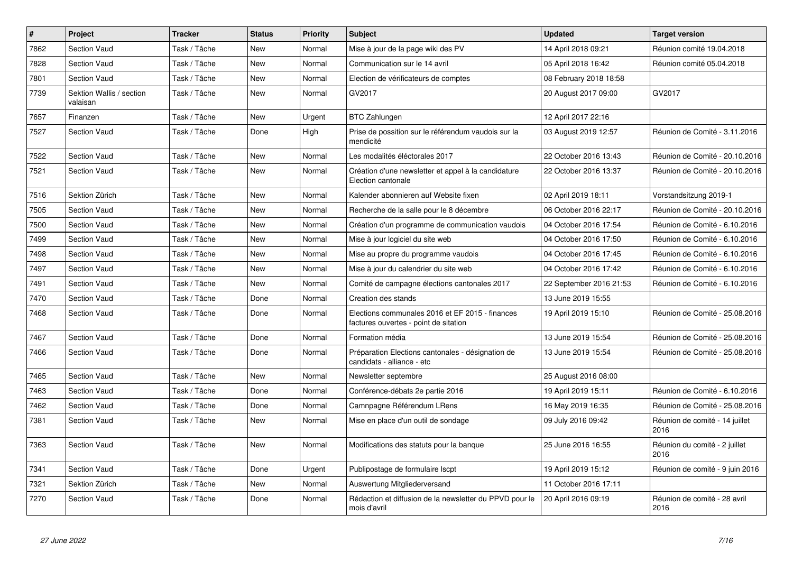| #    | <b>Project</b>                       | <b>Tracker</b> | <b>Status</b> | <b>Priority</b> | <b>Subject</b>                                                                           | <b>Updated</b>          | <b>Target version</b>                  |
|------|--------------------------------------|----------------|---------------|-----------------|------------------------------------------------------------------------------------------|-------------------------|----------------------------------------|
| 7862 | <b>Section Vaud</b>                  | Task / Tâche   | <b>New</b>    | Normal          | Mise à jour de la page wiki des PV                                                       | 14 April 2018 09:21     | Réunion comité 19.04.2018              |
| 7828 | Section Vaud                         | Task / Tâche   | <b>New</b>    | Normal          | Communication sur le 14 avril                                                            | 05 April 2018 16:42     | Réunion comité 05.04.2018              |
| 7801 | <b>Section Vaud</b>                  | Task / Tâche   | <b>New</b>    | Normal          | Election de vérificateurs de comptes                                                     | 08 February 2018 18:58  |                                        |
| 7739 | Sektion Wallis / section<br>valaisan | Task / Tâche   | <b>New</b>    | Normal          | GV2017                                                                                   | 20 August 2017 09:00    | GV2017                                 |
| 7657 | Finanzen                             | Task / Tâche   | New           | Urgent          | <b>BTC Zahlungen</b>                                                                     | 12 April 2017 22:16     |                                        |
| 7527 | Section Vaud                         | Task / Tâche   | Done          | High            | Prise de possition sur le référendum vaudois sur la<br>mendicité                         | 03 August 2019 12:57    | Réunion de Comité - 3.11.2016          |
| 7522 | Section Vaud                         | Task / Tâche   | New           | Normal          | Les modalités éléctorales 2017                                                           | 22 October 2016 13:43   | Réunion de Comité - 20.10.2016         |
| 7521 | Section Vaud                         | Task / Tâche   | New           | Normal          | Création d'une newsletter et appel à la candidature<br>Election cantonale                | 22 October 2016 13:37   | Réunion de Comité - 20.10.2016         |
| 7516 | Sektion Zürich                       | Task / Tâche   | <b>New</b>    | Normal          | Kalender abonnieren auf Website fixen                                                    | 02 April 2019 18:11     | Vorstandsitzung 2019-1                 |
| 7505 | <b>Section Vaud</b>                  | Task / Tâche   | <b>New</b>    | Normal          | Recherche de la salle pour le 8 décembre                                                 | 06 October 2016 22:17   | Réunion de Comité - 20.10.2016         |
| 7500 | <b>Section Vaud</b>                  | Task / Tâche   | New           | Normal          | Création d'un programme de communication vaudois                                         | 04 October 2016 17:54   | Réunion de Comité - 6.10.2016          |
| 7499 | Section Vaud                         | Task / Tâche   | New           | Normal          | Mise à jour logiciel du site web                                                         | 04 October 2016 17:50   | Réunion de Comité - 6.10.2016          |
| 7498 | <b>Section Vaud</b>                  | Task / Tâche   | New           | Normal          | Mise au propre du programme vaudois                                                      | 04 October 2016 17:45   | Réunion de Comité - 6.10.2016          |
| 7497 | Section Vaud                         | Task / Tâche   | <b>New</b>    | Normal          | Mise à jour du calendrier du site web                                                    | 04 October 2016 17:42   | Réunion de Comité - 6.10.2016          |
| 7491 | <b>Section Vaud</b>                  | Task / Tâche   | New           | Normal          | Comité de campagne élections cantonales 2017                                             | 22 September 2016 21:53 | Réunion de Comité - 6.10.2016          |
| 7470 | Section Vaud                         | Task / Tâche   | Done          | Normal          | Creation des stands                                                                      | 13 June 2019 15:55      |                                        |
| 7468 | <b>Section Vaud</b>                  | Task / Tâche   | Done          | Normal          | Elections communales 2016 et EF 2015 - finances<br>factures ouvertes - point de sitation | 19 April 2019 15:10     | Réunion de Comité - 25.08.2016         |
| 7467 | <b>Section Vaud</b>                  | Task / Tâche   | Done          | Normal          | Formation média                                                                          | 13 June 2019 15:54      | Réunion de Comité - 25.08.2016         |
| 7466 | <b>Section Vaud</b>                  | Task / Tâche   | Done          | Normal          | Préparation Elections cantonales - désignation de<br>candidats - alliance - etc          | 13 June 2019 15:54      | Réunion de Comité - 25.08.2016         |
| 7465 | <b>Section Vaud</b>                  | Task / Tâche   | <b>New</b>    | Normal          | Newsletter septembre                                                                     | 25 August 2016 08:00    |                                        |
| 7463 | <b>Section Vaud</b>                  | Task / Tâche   | Done          | Normal          | Conférence-débats 2e partie 2016                                                         | 19 April 2019 15:11     | Réunion de Comité - 6.10.2016          |
| 7462 | Section Vaud                         | Task / Tâche   | Done          | Normal          | Camnpagne Référendum LRens                                                               | 16 May 2019 16:35       | Réunion de Comité - 25.08.2016         |
| 7381 | Section Vaud                         | Task / Tâche   | New           | Normal          | Mise en place d'un outil de sondage                                                      | 09 July 2016 09:42      | Réunion de comité - 14 juillet<br>2016 |
| 7363 | Section Vaud                         | Task / Tâche   | New           | Normal          | Modifications des statuts pour la banque                                                 | 25 June 2016 16:55      | Réunion du comité - 2 juillet<br>2016  |
| 7341 | Section Vaud                         | Task / Tâche   | Done          | Urgent          | Publipostage de formulaire Iscpt                                                         | 19 April 2019 15:12     | Réunion de comité - 9 juin 2016        |
| 7321 | Sektion Zürich                       | Task / Tâche   | New           | Normal          | Auswertung Mitgliederversand                                                             | 11 October 2016 17:11   |                                        |
| 7270 | Section Vaud                         | Task / Tâche   | Done          | Normal          | Rédaction et diffusion de la newsletter du PPVD pour le<br>mois d'avril                  | 20 April 2016 09:19     | Réunion de comité - 28 avril<br>2016   |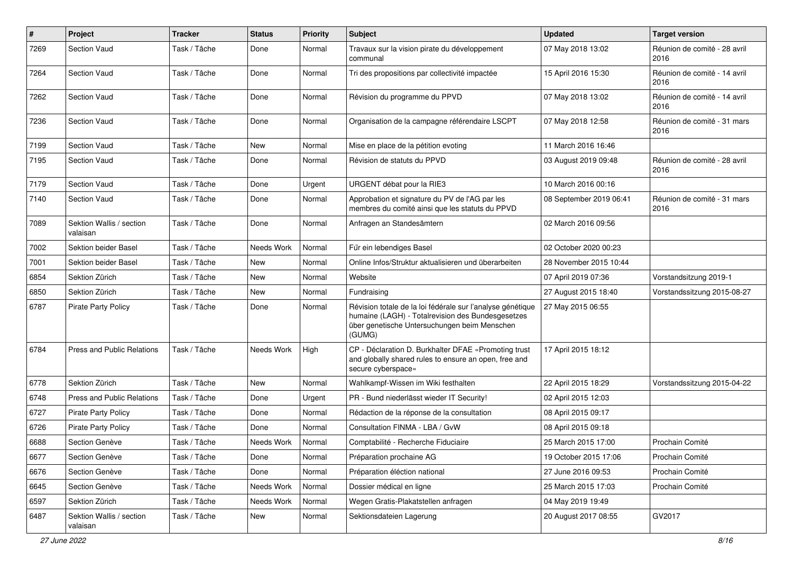| $\pmb{\#}$ | Project                              | <b>Tracker</b> | <b>Status</b> | <b>Priority</b> | <b>Subject</b>                                                                                                                                                            | <b>Updated</b>          | <b>Target version</b>                |
|------------|--------------------------------------|----------------|---------------|-----------------|---------------------------------------------------------------------------------------------------------------------------------------------------------------------------|-------------------------|--------------------------------------|
| 7269       | <b>Section Vaud</b>                  | Task / Tâche   | Done          | Normal          | Travaux sur la vision pirate du développement<br>communal                                                                                                                 | 07 May 2018 13:02       | Réunion de comité - 28 avril<br>2016 |
| 7264       | <b>Section Vaud</b>                  | Task / Tâche   | Done          | Normal          | Tri des propositions par collectivité impactée                                                                                                                            | 15 April 2016 15:30     | Réunion de comité - 14 avril<br>2016 |
| 7262       | <b>Section Vaud</b>                  | Task / Tâche   | Done          | Normal          | Révision du programme du PPVD                                                                                                                                             | 07 May 2018 13:02       | Réunion de comité - 14 avril<br>2016 |
| 7236       | <b>Section Vaud</b>                  | Task / Tâche   | Done          | Normal          | Organisation de la campagne référendaire LSCPT                                                                                                                            | 07 May 2018 12:58       | Réunion de comité - 31 mars<br>2016  |
| 7199       | <b>Section Vaud</b>                  | Task / Tâche   | <b>New</b>    | Normal          | Mise en place de la pétition evoting                                                                                                                                      | 11 March 2016 16:46     |                                      |
| 7195       | <b>Section Vaud</b>                  | Task / Tâche   | Done          | Normal          | Révision de statuts du PPVD                                                                                                                                               | 03 August 2019 09:48    | Réunion de comité - 28 avril<br>2016 |
| 7179       | Section Vaud                         | Task / Tâche   | Done          | Urgent          | URGENT débat pour la RIE3                                                                                                                                                 | 10 March 2016 00:16     |                                      |
| 7140       | <b>Section Vaud</b>                  | Task / Tâche   | Done          | Normal          | Approbation et signature du PV de l'AG par les<br>membres du comité ainsi que les statuts du PPVD                                                                         | 08 September 2019 06:41 | Réunion de comité - 31 mars<br>2016  |
| 7089       | Sektion Wallis / section<br>valaisan | Task / Tâche   | Done          | Normal          | Anfragen an Standesämtern                                                                                                                                                 | 02 March 2016 09:56     |                                      |
| 7002       | <b>Sektion beider Basel</b>          | Task / Tâche   | Needs Work    | Normal          | Für ein lebendiges Basel                                                                                                                                                  | 02 October 2020 00:23   |                                      |
| 7001       | Sektion beider Basel                 | Task / Tâche   | <b>New</b>    | Normal          | Online Infos/Struktur aktualisieren und überarbeiten                                                                                                                      | 28 November 2015 10:44  |                                      |
| 6854       | Sektion Zürich                       | Task / Tâche   | New           | Normal          | Website                                                                                                                                                                   | 07 April 2019 07:36     | Vorstandsitzung 2019-1               |
| 6850       | Sektion Zürich                       | Task / Tâche   | New           | Normal          | Fundraising                                                                                                                                                               | 27 August 2015 18:40    | Vorstandssitzung 2015-08-27          |
| 6787       | <b>Pirate Party Policy</b>           | Task / Tâche   | Done          | Normal          | Révision totale de la loi fédérale sur l'analyse génétique<br>humaine (LAGH) - Totalrevision des Bundesgesetzes<br>über genetische Untersuchungen beim Menschen<br>(GUMG) | 27 May 2015 06:55       |                                      |
| 6784       | <b>Press and Public Relations</b>    | Task / Tâche   | Needs Work    | High            | CP - Déclaration D. Burkhalter DFAE «Promoting trust<br>and globally shared rules to ensure an open, free and<br>secure cyberspace»                                       | 17 April 2015 18:12     |                                      |
| 6778       | Sektion Zürich                       | Task / Tâche   | New           | Normal          | Wahlkampf-Wissen im Wiki festhalten                                                                                                                                       | 22 April 2015 18:29     | Vorstandssitzung 2015-04-22          |
| 6748       | <b>Press and Public Relations</b>    | Task / Tâche   | Done          | Urgent          | PR - Bund niederlässt wieder IT Security!                                                                                                                                 | 02 April 2015 12:03     |                                      |
| 6727       | <b>Pirate Party Policy</b>           | Task / Tâche   | Done          | Normal          | Rédaction de la réponse de la consultation                                                                                                                                | 08 April 2015 09:17     |                                      |
| 6726       | <b>Pirate Party Policy</b>           | Task / Tâche   | Done          | Normal          | Consultation FINMA - LBA / GvW                                                                                                                                            | 08 April 2015 09:18     |                                      |
| 6688       | Section Genève                       | Task / Tâche   | Needs Work    | Normal          | Comptabilité - Recherche Fiduciaire                                                                                                                                       | 25 March 2015 17:00     | Prochain Comité                      |
| 6677       | Section Genève                       | Task / Tâche   | Done          | Normal          | Préparation prochaine AG                                                                                                                                                  | 19 October 2015 17:06   | Prochain Comité                      |
| 6676       | Section Genève                       | Task / Tâche   | Done          | Normal          | Préparation éléction national                                                                                                                                             | 27 June 2016 09:53      | Prochain Comité                      |
| 6645       | Section Genève                       | Task / Tâche   | Needs Work    | Normal          | Dossier médical en ligne                                                                                                                                                  | 25 March 2015 17:03     | Prochain Comité                      |
| 6597       | Sektion Zürich                       | Task / Tâche   | Needs Work    | Normal          | Wegen Gratis-Plakatstellen anfragen                                                                                                                                       | 04 May 2019 19:49       |                                      |
| 6487       | Sektion Wallis / section<br>valaisan | Task / Tâche   | New           | Normal          | Sektionsdateien Lagerung                                                                                                                                                  | 20 August 2017 08:55    | GV2017                               |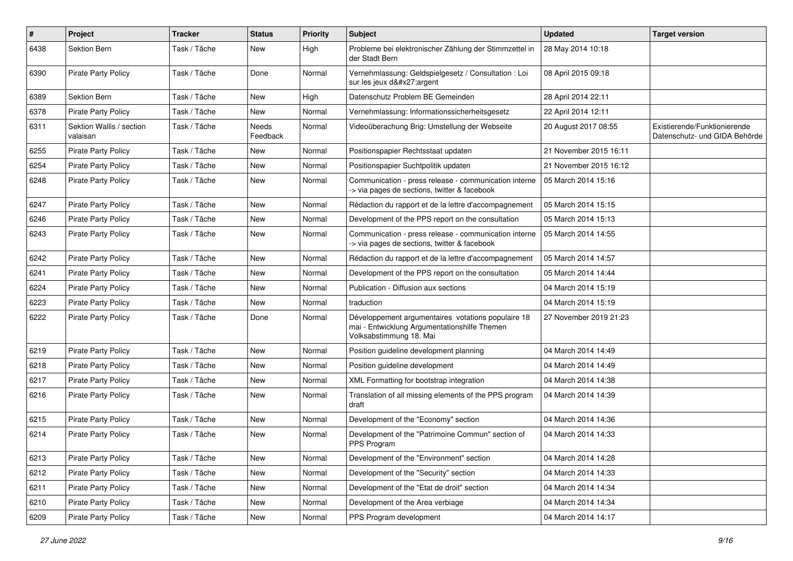| $\pmb{\#}$ | Project                              | <b>Tracker</b> | <b>Status</b>            | <b>Priority</b> | <b>Subject</b>                                                                                                                | <b>Updated</b>         | <b>Target version</b>                                         |
|------------|--------------------------------------|----------------|--------------------------|-----------------|-------------------------------------------------------------------------------------------------------------------------------|------------------------|---------------------------------------------------------------|
| 6438       | Sektion Bern                         | Task / Tâche   | New                      | High            | Probleme bei elektronischer Zählung der Stimmzettel in<br>der Stadt Bern                                                      | 28 May 2014 10:18      |                                                               |
| 6390       | Pirate Party Policy                  | Task / Tâche   | Done                     | Normal          | Vernehmlassung: Geldspielgesetz / Consultation : Loi<br>sur les jeux d'argent                                                 | 08 April 2015 09:18    |                                                               |
| 6389       | Sektion Bern                         | Task / Tâche   | <b>New</b>               | High            | Datenschutz Problem BE Gemeinden                                                                                              | 28 April 2014 22:11    |                                                               |
| 6378       | <b>Pirate Party Policy</b>           | Task / Tâche   | New                      | Normal          | Vernehmlassung: Informationssicherheitsgesetz                                                                                 | 22 April 2014 12:11    |                                                               |
| 6311       | Sektion Wallis / section<br>valaisan | Task / Tâche   | <b>Needs</b><br>Feedback | Normal          | Videoüberachung Brig: Umstellung der Webseite                                                                                 | 20 August 2017 08:55   | Existierende/Funktionierende<br>Datenschutz- und GIDA Behörde |
| 6255       | Pirate Party Policy                  | Task / Tâche   | New                      | Normal          | Positionspapier Rechtsstaat updaten                                                                                           | 21 November 2015 16:11 |                                                               |
| 6254       | <b>Pirate Party Policy</b>           | Task / Tâche   | <b>New</b>               | Normal          | Positionspapier Suchtpolitik updaten                                                                                          | 21 November 2015 16:12 |                                                               |
| 6248       | <b>Pirate Party Policy</b>           | Task / Tâche   | New                      | Normal          | Communication - press release - communication interne<br>-> via pages de sections, twitter & facebook                         | 05 March 2014 15:16    |                                                               |
| 6247       | Pirate Party Policy                  | Task / Tâche   | <b>New</b>               | Normal          | Rédaction du rapport et de la lettre d'accompagnement                                                                         | 05 March 2014 15:15    |                                                               |
| 6246       | <b>Pirate Party Policy</b>           | Task / Tâche   | New                      | Normal          | Development of the PPS report on the consultation                                                                             | 05 March 2014 15:13    |                                                               |
| 6243       | Pirate Party Policy                  | Task / Tâche   | New                      | Normal          | Communication - press release - communication interne<br>-> via pages de sections, twitter & facebook                         | 05 March 2014 14:55    |                                                               |
| 6242       | <b>Pirate Party Policy</b>           | Task / Tâche   | <b>New</b>               | Normal          | Rédaction du rapport et de la lettre d'accompagnement                                                                         | 05 March 2014 14:57    |                                                               |
| 6241       | <b>Pirate Party Policy</b>           | Task / Tâche   | <b>New</b>               | Normal          | Development of the PPS report on the consultation                                                                             | 05 March 2014 14:44    |                                                               |
| 6224       | <b>Pirate Party Policy</b>           | Task / Tâche   | <b>New</b>               | Normal          | Publication - Diffusion aux sections                                                                                          | 04 March 2014 15:19    |                                                               |
| 6223       | <b>Pirate Party Policy</b>           | Task / Tâche   | New                      | Normal          | traduction                                                                                                                    | 04 March 2014 15:19    |                                                               |
| 6222       | <b>Pirate Party Policy</b>           | Task / Tâche   | Done                     | Normal          | Développement argumentaires votations populaire 18<br>mai - Entwicklung Argumentationshilfe Themen<br>Volksabstimmung 18. Mai | 27 November 2019 21:23 |                                                               |
| 6219       | <b>Pirate Party Policy</b>           | Task / Tâche   | New                      | Normal          | Position guideline development planning                                                                                       | 04 March 2014 14:49    |                                                               |
| 6218       | Pirate Party Policy                  | Task / Tâche   | New                      | Normal          | Position guideline development                                                                                                | 04 March 2014 14:49    |                                                               |
| 6217       | <b>Pirate Party Policy</b>           | Task / Tâche   | <b>New</b>               | Normal          | XML Formatting for bootstrap integration                                                                                      | 04 March 2014 14:38    |                                                               |
| 6216       | <b>Pirate Party Policy</b>           | Task / Tâche   | New                      | Normal          | Translation of all missing elements of the PPS program<br>draft                                                               | 04 March 2014 14:39    |                                                               |
| 6215       | Pirate Party Policy                  | Task / Tâche   | <b>New</b>               | Normal          | Development of the "Economy" section                                                                                          | 04 March 2014 14:36    |                                                               |
| 6214       | Pirate Party Policy                  | Task / Tâche   | New                      | Normal          | Development of the "Patrimoine Commun" section of<br>PPS Program                                                              | 04 March 2014 14:33    |                                                               |
| 6213       | Pirate Party Policy                  | Task / Tâche   | New                      | Normal          | Development of the "Environment" section                                                                                      | 04 March 2014 14:28    |                                                               |
| 6212       | Pirate Party Policy                  | Task / Tâche   | New                      | Normal          | Development of the "Security" section                                                                                         | 04 March 2014 14:33    |                                                               |
| 6211       | Pirate Party Policy                  | Task / Tâche   | New                      | Normal          | Development of the "Etat de droit" section                                                                                    | 04 March 2014 14:34    |                                                               |
| 6210       | Pirate Party Policy                  | Task / Tâche   | New                      | Normal          | Development of the Area verbiage                                                                                              | 04 March 2014 14:34    |                                                               |
| 6209       | Pirate Party Policy                  | Task / Tâche   | New                      | Normal          | PPS Program development                                                                                                       | 04 March 2014 14:17    |                                                               |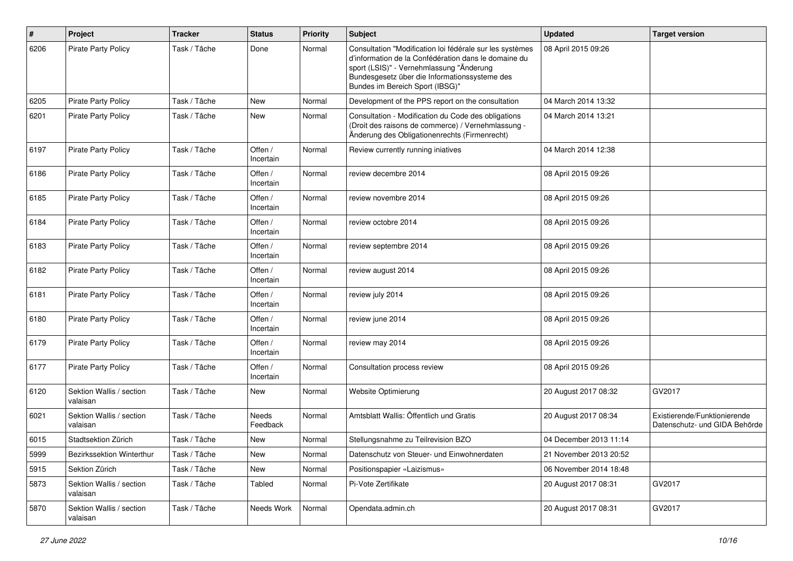| $\pmb{\#}$ | Project                              | <b>Tracker</b> | <b>Status</b>        | <b>Priority</b> | Subject                                                                                                                                                                                                                                          | <b>Updated</b>         | <b>Target version</b>                                         |
|------------|--------------------------------------|----------------|----------------------|-----------------|--------------------------------------------------------------------------------------------------------------------------------------------------------------------------------------------------------------------------------------------------|------------------------|---------------------------------------------------------------|
| 6206       | <b>Pirate Party Policy</b>           | Task / Tâche   | Done                 | Normal          | Consultation "Modification loi fédérale sur les systèmes<br>d'information de la Confédération dans le domaine du<br>sport (LSIS)" - Vernehmlassung "Änderung<br>Bundesgesetz über die Informationssysteme des<br>Bundes im Bereich Sport (IBSG)" | 08 April 2015 09:26    |                                                               |
| 6205       | <b>Pirate Party Policy</b>           | Task / Tâche   | New                  | Normal          | Development of the PPS report on the consultation                                                                                                                                                                                                | 04 March 2014 13:32    |                                                               |
| 6201       | <b>Pirate Party Policy</b>           | Task / Tâche   | New                  | Normal          | Consultation - Modification du Code des obligations<br>(Droit des raisons de commerce) / Vernehmlassung -<br>Änderung des Obligationenrechts (Firmenrecht)                                                                                       | 04 March 2014 13:21    |                                                               |
| 6197       | <b>Pirate Party Policy</b>           | Task / Tâche   | Offen /<br>Incertain | Normal          | Review currently running iniatives                                                                                                                                                                                                               | 04 March 2014 12:38    |                                                               |
| 6186       | <b>Pirate Party Policy</b>           | Task / Tâche   | Offen /<br>Incertain | Normal          | review decembre 2014                                                                                                                                                                                                                             | 08 April 2015 09:26    |                                                               |
| 6185       | <b>Pirate Party Policy</b>           | Task / Tâche   | Offen /<br>Incertain | Normal          | review novembre 2014                                                                                                                                                                                                                             | 08 April 2015 09:26    |                                                               |
| 6184       | <b>Pirate Party Policy</b>           | Task / Tâche   | Offen /<br>Incertain | Normal          | review octobre 2014                                                                                                                                                                                                                              | 08 April 2015 09:26    |                                                               |
| 6183       | <b>Pirate Party Policy</b>           | Task / Tâche   | Offen /<br>Incertain | Normal          | review septembre 2014                                                                                                                                                                                                                            | 08 April 2015 09:26    |                                                               |
| 6182       | <b>Pirate Party Policy</b>           | Task / Tâche   | Offen /<br>Incertain | Normal          | review august 2014                                                                                                                                                                                                                               | 08 April 2015 09:26    |                                                               |
| 6181       | <b>Pirate Party Policy</b>           | Task / Tâche   | Offen /<br>Incertain | Normal          | review july 2014                                                                                                                                                                                                                                 | 08 April 2015 09:26    |                                                               |
| 6180       | Pirate Party Policy                  | Task / Tâche   | Offen /<br>Incertain | Normal          | review june 2014                                                                                                                                                                                                                                 | 08 April 2015 09:26    |                                                               |
| 6179       | <b>Pirate Party Policy</b>           | Task / Tâche   | Offen /<br>Incertain | Normal          | review may 2014                                                                                                                                                                                                                                  | 08 April 2015 09:26    |                                                               |
| 6177       | <b>Pirate Party Policy</b>           | Task / Tâche   | Offen /<br>Incertain | Normal          | Consultation process review                                                                                                                                                                                                                      | 08 April 2015 09:26    |                                                               |
| 6120       | Sektion Wallis / section<br>valaisan | Task / Tâche   | New                  | Normal          | <b>Website Optimierung</b>                                                                                                                                                                                                                       | 20 August 2017 08:32   | GV2017                                                        |
| 6021       | Sektion Wallis / section<br>valaisan | Task / Tâche   | Needs<br>Feedback    | Normal          | Amtsblatt Wallis: Öffentlich und Gratis                                                                                                                                                                                                          | 20 August 2017 08:34   | Existierende/Funktionierende<br>Datenschutz- und GIDA Behörde |
| 6015       | Stadtsektion Zürich                  | Task / Tâche   | New                  | Normal          | Stellungsnahme zu Teilrevision BZO                                                                                                                                                                                                               | 04 December 2013 11:14 |                                                               |
| 5999       | Bezirkssektion Winterthur            | Task / Tâche   | New                  | Normal          | Datenschutz von Steuer- und Einwohnerdaten                                                                                                                                                                                                       | 21 November 2013 20:52 |                                                               |
| 5915       | Sektion Zürich                       | Task / Tâche   | New                  | Normal          | Positionspapier «Laizismus»                                                                                                                                                                                                                      | 06 November 2014 18:48 |                                                               |
| 5873       | Sektion Wallis / section<br>valaisan | Task / Tâche   | Tabled               | Normal          | Pi-Vote Zertifikate                                                                                                                                                                                                                              | 20 August 2017 08:31   | GV2017                                                        |
| 5870       | Sektion Wallis / section<br>valaisan | Task / Tâche   | Needs Work           | Normal          | Opendata.admin.ch                                                                                                                                                                                                                                | 20 August 2017 08:31   | GV2017                                                        |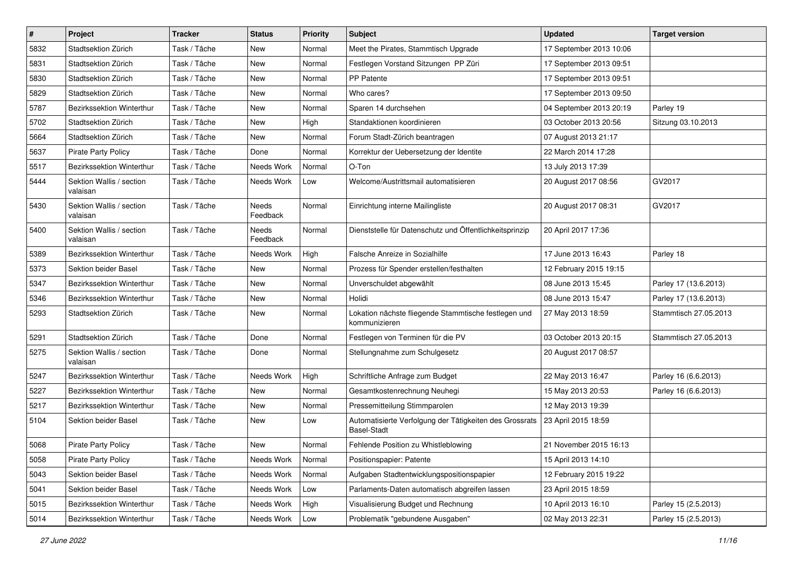| #    | Project                              | <b>Tracker</b> | <b>Status</b>     | <b>Priority</b> | Subject                                                                       | <b>Updated</b>          | <b>Target version</b> |
|------|--------------------------------------|----------------|-------------------|-----------------|-------------------------------------------------------------------------------|-------------------------|-----------------------|
| 5832 | Stadtsektion Zürich                  | Task / Tâche   | New               | Normal          | Meet the Pirates, Stammtisch Upgrade                                          | 17 September 2013 10:06 |                       |
| 5831 | Stadtsektion Zürich                  | Task / Tâche   | <b>New</b>        | Normal          | Festlegen Vorstand Sitzungen PP Züri                                          | 17 September 2013 09:51 |                       |
| 5830 | Stadtsektion Zürich                  | Task / Tâche   | New               | Normal          | <b>PP Patente</b>                                                             | 17 September 2013 09:51 |                       |
| 5829 | Stadtsektion Zürich                  | Task / Tâche   | New               | Normal          | Who cares?                                                                    | 17 September 2013 09:50 |                       |
| 5787 | Bezirkssektion Winterthur            | Task / Tâche   | <b>New</b>        | Normal          | Sparen 14 durchsehen                                                          | 04 September 2013 20:19 | Parley 19             |
| 5702 | Stadtsektion Zürich                  | Task / Tâche   | New               | High            | Standaktionen koordinieren                                                    | 03 October 2013 20:56   | Sitzung 03.10.2013    |
| 5664 | Stadtsektion Zürich                  | Task / Tâche   | New               | Normal          | Forum Stadt-Zürich beantragen                                                 | 07 August 2013 21:17    |                       |
| 5637 | <b>Pirate Party Policy</b>           | Task / Tâche   | Done              | Normal          | Korrektur der Uebersetzung der Identite                                       | 22 March 2014 17:28     |                       |
| 5517 | Bezirkssektion Winterthur            | Task / Tâche   | Needs Work        | Normal          | O-Ton                                                                         | 13 July 2013 17:39      |                       |
| 5444 | Sektion Wallis / section<br>valaisan | Task / Tâche   | Needs Work        | Low             | Welcome/Austrittsmail automatisieren                                          | 20 August 2017 08:56    | GV2017                |
| 5430 | Sektion Wallis / section<br>valaisan | Task / Tâche   | Needs<br>Feedback | Normal          | Einrichtung interne Mailingliste                                              | 20 August 2017 08:31    | GV2017                |
| 5400 | Sektion Wallis / section<br>valaisan | Task / Tâche   | Needs<br>Feedback | Normal          | Dienststelle für Datenschutz und Öffentlichkeitsprinzip                       | 20 April 2017 17:36     |                       |
| 5389 | Bezirkssektion Winterthur            | Task / Tâche   | Needs Work        | High            | Falsche Anreize in Sozialhilfe                                                | 17 June 2013 16:43      | Parley 18             |
| 5373 | Sektion beider Basel                 | Task / Tâche   | New               | Normal          | Prozess für Spender erstellen/festhalten                                      | 12 February 2015 19:15  |                       |
| 5347 | Bezirkssektion Winterthur            | Task / Tâche   | <b>New</b>        | Normal          | Unverschuldet abgewählt                                                       | 08 June 2013 15:45      | Parley 17 (13.6.2013) |
| 5346 | Bezirkssektion Winterthur            | Task / Tâche   | New               | Normal          | Holidi                                                                        | 08 June 2013 15:47      | Parley 17 (13.6.2013) |
| 5293 | Stadtsektion Zürich                  | Task / Tâche   | New               | Normal          | Lokation nächste fliegende Stammtische festlegen und<br>kommunizieren         | 27 May 2013 18:59       | Stammtisch 27.05.2013 |
| 5291 | Stadtsektion Zürich                  | Task / Tâche   | Done              | Normal          | Festlegen von Terminen für die PV                                             | 03 October 2013 20:15   | Stammtisch 27.05.2013 |
| 5275 | Sektion Wallis / section<br>valaisan | Task / Tâche   | Done              | Normal          | Stellungnahme zum Schulgesetz                                                 | 20 August 2017 08:57    |                       |
| 5247 | Bezirkssektion Winterthur            | Task / Tâche   | Needs Work        | High            | Schriftliche Anfrage zum Budget                                               | 22 May 2013 16:47       | Parley 16 (6.6.2013)  |
| 5227 | <b>Bezirkssektion Winterthur</b>     | Task / Tâche   | <b>New</b>        | Normal          | Gesamtkostenrechnung Neuhegi                                                  | 15 May 2013 20:53       | Parley 16 (6.6.2013)  |
| 5217 | Bezirkssektion Winterthur            | Task / Tâche   | New               | Normal          | Pressemitteilung Stimmparolen                                                 | 12 May 2013 19:39       |                       |
| 5104 | Sektion beider Basel                 | Task / Tâche   | New               | Low             | Automatisierte Verfolgung der Tätigkeiten des Grossrats<br><b>Basel-Stadt</b> | 23 April 2015 18:59     |                       |
| 5068 | <b>Pirate Party Policy</b>           | Task / Tâche   | New               | Normal          | Fehlende Position zu Whistleblowing                                           | 21 November 2015 16:13  |                       |
| 5058 | Pirate Party Policy                  | Task / Tâche   | Needs Work        | Normal          | Positionspapier: Patente                                                      | 15 April 2013 14:10     |                       |
| 5043 | Sektion beider Basel                 | Task / Tâche   | Needs Work        | Normal          | Aufgaben Stadtentwicklungspositionspapier                                     | 12 February 2015 19:22  |                       |
| 5041 | Sektion beider Basel                 | Task / Tâche   | Needs Work        | Low             | Parlaments-Daten automatisch abgreifen lassen                                 | 23 April 2015 18:59     |                       |
| 5015 | Bezirkssektion Winterthur            | Task / Tâche   | Needs Work        | High            | Visualisierung Budget und Rechnung                                            | 10 April 2013 16:10     | Parley 15 (2.5.2013)  |
| 5014 | Bezirkssektion Winterthur            | Task / Tâche   | Needs Work        | Low             | Problematik "gebundene Ausgaben"                                              | 02 May 2013 22:31       | Parley 15 (2.5.2013)  |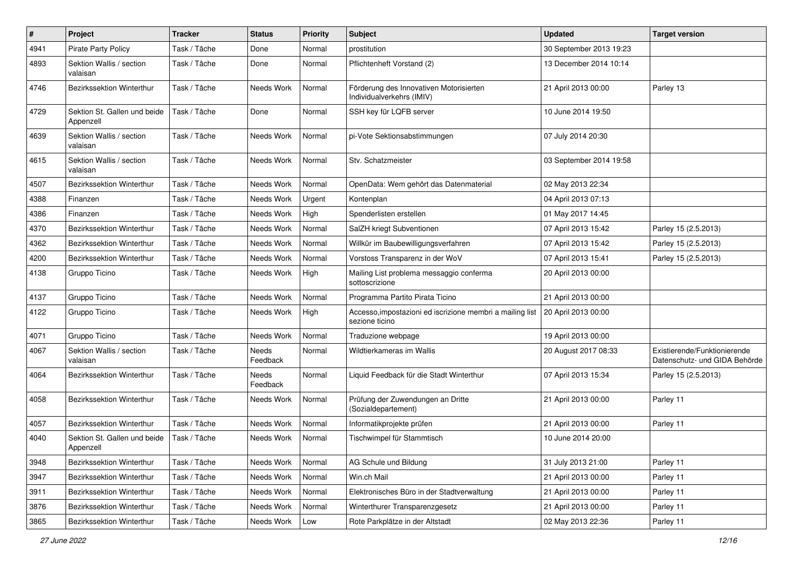| $\#$ | Project                                   | <b>Tracker</b> | <b>Status</b>            | <b>Priority</b> | <b>Subject</b>                                                              | <b>Updated</b>          | <b>Target version</b>                                         |
|------|-------------------------------------------|----------------|--------------------------|-----------------|-----------------------------------------------------------------------------|-------------------------|---------------------------------------------------------------|
| 4941 | Pirate Party Policy                       | Task / Tâche   | Done                     | Normal          | prostitution                                                                | 30 September 2013 19:23 |                                                               |
| 4893 | Sektion Wallis / section<br>valaisan      | Task / Tâche   | Done                     | Normal          | Pflichtenheft Vorstand (2)                                                  | 13 December 2014 10:14  |                                                               |
| 4746 | Bezirkssektion Winterthur                 | Task / Tâche   | Needs Work               | Normal          | Förderung des Innovativen Motorisierten<br>Individualverkehrs (IMIV)        | 21 April 2013 00:00     | Parley 13                                                     |
| 4729 | Sektion St. Gallen und beide<br>Appenzell | Task / Tâche   | Done                     | Normal          | SSH key für LQFB server                                                     | 10 June 2014 19:50      |                                                               |
| 4639 | Sektion Wallis / section<br>valaisan      | Task / Tâche   | Needs Work               | Normal          | pi-Vote Sektionsabstimmungen                                                | 07 July 2014 20:30      |                                                               |
| 4615 | Sektion Wallis / section<br>valaisan      | Task / Tâche   | Needs Work               | Normal          | Stv. Schatzmeister                                                          | 03 September 2014 19:58 |                                                               |
| 4507 | <b>Bezirkssektion Winterthur</b>          | Task / Tâche   | Needs Work               | Normal          | OpenData: Wem gehört das Datenmaterial                                      | 02 May 2013 22:34       |                                                               |
| 4388 | Finanzen                                  | Task / Tâche   | Needs Work               | Urgent          | Kontenplan                                                                  | 04 April 2013 07:13     |                                                               |
| 4386 | Finanzen                                  | Task / Tâche   | Needs Work               | High            | Spenderlisten erstellen                                                     | 01 May 2017 14:45       |                                                               |
| 4370 | Bezirkssektion Winterthur                 | Task / Tâche   | Needs Work               | Normal          | SalZH kriegt Subventionen                                                   | 07 April 2013 15:42     | Parley 15 (2.5.2013)                                          |
| 4362 | Bezirkssektion Winterthur                 | Task / Tâche   | Needs Work               | Normal          | Willkür im Baubewilligungsverfahren                                         | 07 April 2013 15:42     | Parley 15 (2.5.2013)                                          |
| 4200 | <b>Bezirkssektion Winterthur</b>          | Task / Tâche   | Needs Work               | Normal          | Vorstoss Transparenz in der WoV                                             | 07 April 2013 15:41     | Parley 15 (2.5.2013)                                          |
| 4138 | Gruppo Ticino                             | Task / Tâche   | Needs Work               | High            | Mailing List problema messaggio conferma<br>sottoscrizione                  | 20 April 2013 00:00     |                                                               |
| 4137 | Gruppo Ticino                             | Task / Tâche   | Needs Work               | Normal          | Programma Partito Pirata Ticino                                             | 21 April 2013 00:00     |                                                               |
| 4122 | Gruppo Ticino                             | Task / Tâche   | Needs Work               | High            | Accesso, impostazioni ed iscrizione membri a mailing list<br>sezione ticino | 20 April 2013 00:00     |                                                               |
| 4071 | Gruppo Ticino                             | Task / Tâche   | Needs Work               | Normal          | Traduzione webpage                                                          | 19 April 2013 00:00     |                                                               |
| 4067 | Sektion Wallis / section<br>valaisan      | Task / Tâche   | <b>Needs</b><br>Feedback | Normal          | Wildtierkameras im Wallis                                                   | 20 August 2017 08:33    | Existierende/Funktionierende<br>Datenschutz- und GIDA Behörde |
| 4064 | Bezirkssektion Winterthur                 | Task / Tâche   | Needs<br>Feedback        | Normal          | Liquid Feedback für die Stadt Winterthur                                    | 07 April 2013 15:34     | Parley 15 (2.5.2013)                                          |
| 4058 | Bezirkssektion Winterthur                 | Task / Tâche   | Needs Work               | Normal          | Prüfung der Zuwendungen an Dritte<br>(Sozialdepartement)                    | 21 April 2013 00:00     | Parley 11                                                     |
| 4057 | <b>Bezirkssektion Winterthur</b>          | Task / Tâche   | Needs Work               | Normal          | Informatikprojekte prüfen                                                   | 21 April 2013 00:00     | Parley 11                                                     |
| 4040 | Sektion St. Gallen und beide<br>Appenzell | Task / Tâche   | Needs Work               | Normal          | Tischwimpel für Stammtisch                                                  | 10 June 2014 20:00      |                                                               |
| 3948 | Bezirkssektion Winterthur                 | Task / Tâche   | Needs Work               | Normal          | AG Schule und Bildung                                                       | 31 July 2013 21:00      | Parley 11                                                     |
| 3947 | Bezirkssektion Winterthur                 | Task / Tâche   | Needs Work               | Normal          | Win.ch Mail                                                                 | 21 April 2013 00:00     | Parley 11                                                     |
| 3911 | Bezirkssektion Winterthur                 | Task / Tâche   | Needs Work               | Normal          | Elektronisches Büro in der Stadtverwaltung                                  | 21 April 2013 00:00     | Parley 11                                                     |
| 3876 | Bezirkssektion Winterthur                 | Task / Tâche   | Needs Work               | Normal          | Winterthurer Transparenzgesetz                                              | 21 April 2013 00:00     | Parley 11                                                     |
| 3865 | Bezirkssektion Winterthur                 | Task / Tâche   | Needs Work               | Low             | Rote Parkplätze in der Altstadt                                             | 02 May 2013 22:36       | Parley 11                                                     |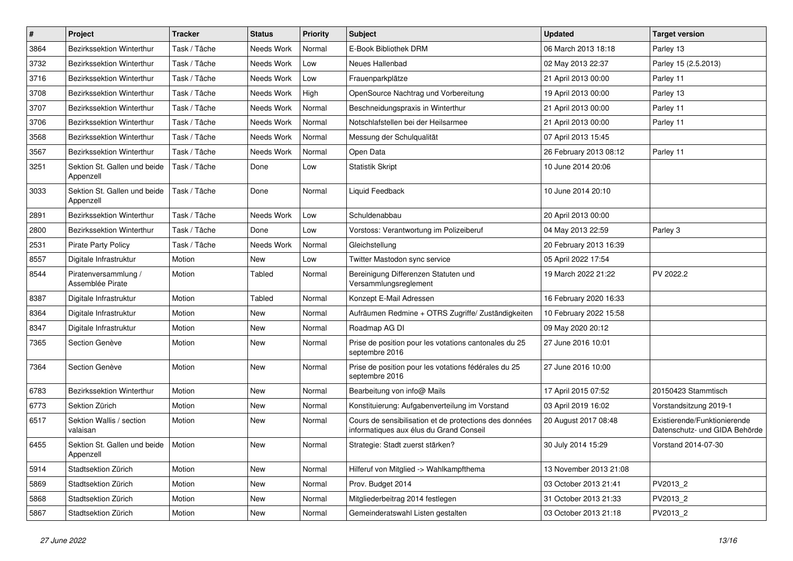| $\pmb{\#}$ | Project                                            | <b>Tracker</b> | <b>Status</b> | <b>Priority</b> | <b>Subject</b>                                                                                    | <b>Updated</b>         | <b>Target version</b>                                         |
|------------|----------------------------------------------------|----------------|---------------|-----------------|---------------------------------------------------------------------------------------------------|------------------------|---------------------------------------------------------------|
| 3864       | <b>Bezirkssektion Winterthur</b>                   | Task / Tâche   | Needs Work    | Normal          | E-Book Bibliothek DRM                                                                             | 06 March 2013 18:18    | Parley 13                                                     |
| 3732       | Bezirkssektion Winterthur                          | Task / Tâche   | Needs Work    | Low             | Neues Hallenbad                                                                                   | 02 May 2013 22:37      | Parley 15 (2.5.2013)                                          |
| 3716       | <b>Bezirkssektion Winterthur</b>                   | Task / Tâche   | Needs Work    | Low             | Frauenparkplätze                                                                                  | 21 April 2013 00:00    | Parley 11                                                     |
| 3708       | Bezirkssektion Winterthur                          | Task / Tâche   | Needs Work    | High            | OpenSource Nachtrag und Vorbereitung                                                              | 19 April 2013 00:00    | Parley 13                                                     |
| 3707       | <b>Bezirkssektion Winterthur</b>                   | Task / Tâche   | Needs Work    | Normal          | Beschneidungspraxis in Winterthur                                                                 | 21 April 2013 00:00    | Parley 11                                                     |
| 3706       | Bezirkssektion Winterthur                          | Task / Tâche   | Needs Work    | Normal          | Notschlafstellen bei der Heilsarmee                                                               | 21 April 2013 00:00    | Parley 11                                                     |
| 3568       | Bezirkssektion Winterthur                          | Task / Tâche   | Needs Work    | Normal          | Messung der Schulqualität                                                                         | 07 April 2013 15:45    |                                                               |
| 3567       | <b>Bezirkssektion Winterthur</b>                   | Task / Tâche   | Needs Work    | Normal          | Open Data                                                                                         | 26 February 2013 08:12 | Parley 11                                                     |
| 3251       | Sektion St. Gallen und beide<br>Appenzell          | Task / Tâche   | Done          | Low             | <b>Statistik Skript</b>                                                                           | 10 June 2014 20:06     |                                                               |
| 3033       | Sektion St. Gallen und beide<br>Appenzell          | Task / Tâche   | Done          | Normal          | Liquid Feedback                                                                                   | 10 June 2014 20:10     |                                                               |
| 2891       | Bezirkssektion Winterthur                          | Task / Tâche   | Needs Work    | Low             | Schuldenabbau                                                                                     | 20 April 2013 00:00    |                                                               |
| 2800       | Bezirkssektion Winterthur                          | Task / Tâche   | Done          | Low             | Vorstoss: Verantwortung im Polizeiberuf                                                           | 04 May 2013 22:59      | Parley 3                                                      |
| 2531       | <b>Pirate Party Policy</b>                         | Task / Tâche   | Needs Work    | Normal          | Gleichstellung                                                                                    | 20 February 2013 16:39 |                                                               |
| 8557       | Digitale Infrastruktur                             | Motion         | New           | Low             | Twitter Mastodon sync service                                                                     | 05 April 2022 17:54    |                                                               |
| 8544       | Piratenversammlung /<br>Assemblée Pirate           | Motion         | Tabled        | Normal          | Bereinigung Differenzen Statuten und<br>Versammlungsreglement                                     | 19 March 2022 21:22    | PV 2022.2                                                     |
| 8387       | Digitale Infrastruktur                             | Motion         | Tabled        | Normal          | Konzept E-Mail Adressen                                                                           | 16 February 2020 16:33 |                                                               |
| 8364       | Digitale Infrastruktur                             | Motion         | New           | Normal          | Aufräumen Redmine + OTRS Zugriffe/ Zuständigkeiten                                                | 10 February 2022 15:58 |                                                               |
| 8347       | Digitale Infrastruktur                             | Motion         | New           | Normal          | Roadmap AG DI                                                                                     | 09 May 2020 20:12      |                                                               |
| 7365       | Section Genève                                     | Motion         | New           | Normal          | Prise de position pour les votations cantonales du 25<br>septembre 2016                           | 27 June 2016 10:01     |                                                               |
| 7364       | Section Genève                                     | Motion         | <b>New</b>    | Normal          | Prise de position pour les votations fédérales du 25<br>septembre 2016                            | 27 June 2016 10:00     |                                                               |
| 6783       | Bezirkssektion Winterthur                          | Motion         | <b>New</b>    | Normal          | Bearbeitung von info@ Mails                                                                       | 17 April 2015 07:52    | 20150423 Stammtisch                                           |
| 6773       | Sektion Zürich                                     | Motion         | New           | Normal          | Konstituierung: Aufgabenverteilung im Vorstand                                                    | 03 April 2019 16:02    | Vorstandsitzung 2019-1                                        |
| 6517       | Sektion Wallis / section<br>valaisan               | Motion         | New           | Normal          | Cours de sensibilisation et de protections des données<br>informatiques aux élus du Grand Conseil | 20 August 2017 08:48   | Existierende/Funktionierende<br>Datenschutz- und GIDA Behörde |
| 6455       | Sektion St. Gallen und beide   Motion<br>Appenzell |                | New           | Normal          | Strategie: Stadt zuerst stärken?                                                                  | 30 July 2014 15:29     | Vorstand 2014-07-30                                           |
| 5914       | Stadtsektion Zürich                                | Motion         | New           | Normal          | Hilferuf von Mitglied -> Wahlkampfthema                                                           | 13 November 2013 21:08 |                                                               |
| 5869       | Stadtsektion Zürich                                | Motion         | New           | Normal          | Prov. Budget 2014                                                                                 | 03 October 2013 21:41  | PV2013_2                                                      |
| 5868       | Stadtsektion Zürich                                | Motion         | New           | Normal          | Mitgliederbeitrag 2014 festlegen                                                                  | 31 October 2013 21:33  | PV2013_2                                                      |
| 5867       | Stadtsektion Zürich                                | Motion         | New           | Normal          | Gemeinderatswahl Listen gestalten                                                                 | 03 October 2013 21:18  | PV2013_2                                                      |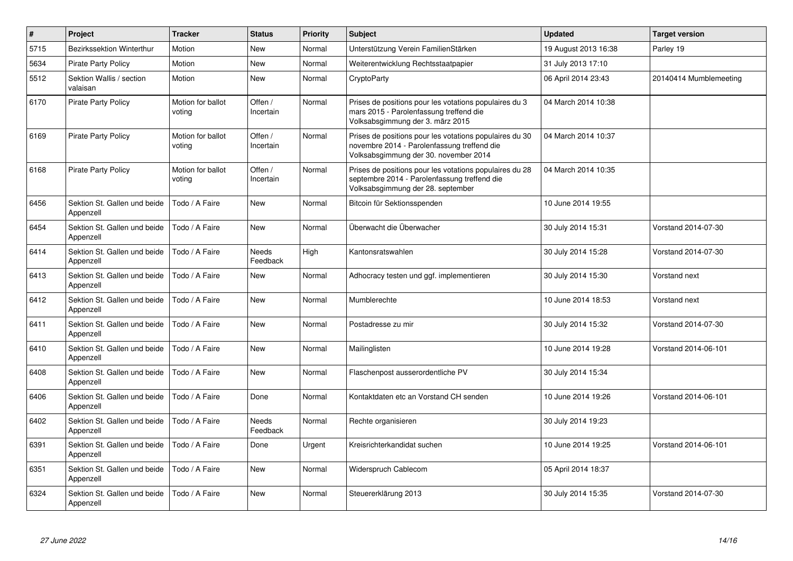| $\pmb{\#}$ | Project                                   | <b>Tracker</b>              | <b>Status</b>            | <b>Priority</b> | <b>Subject</b>                                                                                                                                  | <b>Updated</b>       | <b>Target version</b>  |
|------------|-------------------------------------------|-----------------------------|--------------------------|-----------------|-------------------------------------------------------------------------------------------------------------------------------------------------|----------------------|------------------------|
| 5715       | <b>Bezirkssektion Winterthur</b>          | Motion                      | New                      | Normal          | Unterstützung Verein FamilienStärken                                                                                                            | 19 August 2013 16:38 | Parley 19              |
| 5634       | <b>Pirate Party Policy</b>                | Motion                      | New                      | Normal          | Weiterentwicklung Rechtsstaatpapier                                                                                                             | 31 July 2013 17:10   |                        |
| 5512       | Sektion Wallis / section<br>valaisan      | Motion                      | New                      | Normal          | CryptoParty                                                                                                                                     | 06 April 2014 23:43  | 20140414 Mumblemeeting |
| 6170       | <b>Pirate Party Policy</b>                | Motion for ballot<br>voting | Offen /<br>Incertain     | Normal          | Prises de positions pour les votations populaires du 3<br>mars 2015 - Parolenfassung treffend die<br>Volksabsgimmung der 3. märz 2015           | 04 March 2014 10:38  |                        |
| 6169       | <b>Pirate Party Policy</b>                | Motion for ballot<br>voting | Offen /<br>Incertain     | Normal          | Prises de positions pour les votations populaires du 30<br>novembre 2014 - Parolenfassung treffend die<br>Volksabsgimmung der 30. november 2014 | 04 March 2014 10:37  |                        |
| 6168       | <b>Pirate Party Policy</b>                | Motion for ballot<br>voting | Offen /<br>Incertain     | Normal          | Prises de positions pour les votations populaires du 28<br>septembre 2014 - Parolenfassung treffend die<br>Volksabsgimmung der 28. september    | 04 March 2014 10:35  |                        |
| 6456       | Sektion St. Gallen und beide<br>Appenzell | Todo / A Faire              | <b>New</b>               | Normal          | Bitcoin für Sektionsspenden                                                                                                                     | 10 June 2014 19:55   |                        |
| 6454       | Sektion St. Gallen und beide<br>Appenzell | Todo / A Faire              | New                      | Normal          | Überwacht die Überwacher                                                                                                                        | 30 July 2014 15:31   | Vorstand 2014-07-30    |
| 6414       | Sektion St. Gallen und beide<br>Appenzell | Todo / A Faire              | <b>Needs</b><br>Feedback | High            | Kantonsratswahlen                                                                                                                               | 30 July 2014 15:28   | Vorstand 2014-07-30    |
| 6413       | Sektion St. Gallen und beide<br>Appenzell | Todo / A Faire              | <b>New</b>               | Normal          | Adhocracy testen und ggf. implementieren                                                                                                        | 30 July 2014 15:30   | Vorstand next          |
| 6412       | Sektion St. Gallen und beide<br>Appenzell | Todo / A Faire              | <b>New</b>               | Normal          | Mumblerechte                                                                                                                                    | 10 June 2014 18:53   | Vorstand next          |
| 6411       | Sektion St. Gallen und beide<br>Appenzell | Todo / A Faire              | New                      | Normal          | Postadresse zu mir                                                                                                                              | 30 July 2014 15:32   | Vorstand 2014-07-30    |
| 6410       | Sektion St. Gallen und beide<br>Appenzell | Todo / A Faire              | <b>New</b>               | Normal          | Mailinglisten                                                                                                                                   | 10 June 2014 19:28   | Vorstand 2014-06-101   |
| 6408       | Sektion St. Gallen und beide<br>Appenzell | Todo / A Faire              | New                      | Normal          | Flaschenpost ausserordentliche PV                                                                                                               | 30 July 2014 15:34   |                        |
| 6406       | Sektion St. Gallen und beide<br>Appenzell | Todo / A Faire              | Done                     | Normal          | Kontaktdaten etc an Vorstand CH senden                                                                                                          | 10 June 2014 19:26   | Vorstand 2014-06-101   |
| 6402       | Sektion St. Gallen und beide<br>Appenzell | Todo / A Faire              | Needs<br>Feedback        | Normal          | Rechte organisieren                                                                                                                             | 30 July 2014 19:23   |                        |
| 6391       | Sektion St. Gallen und beide<br>Appenzell | Todo / A Faire              | Done                     | Urgent          | Kreisrichterkandidat suchen                                                                                                                     | 10 June 2014 19:25   | Vorstand 2014-06-101   |
| 6351       | Sektion St. Gallen und beide<br>Appenzell | Todo / A Faire              | New                      | Normal          | Widerspruch Cablecom                                                                                                                            | 05 April 2014 18:37  |                        |
| 6324       | Sektion St. Gallen und beide<br>Appenzell | Todo / A Faire              | New                      | Normal          | Steuererklärung 2013                                                                                                                            | 30 July 2014 15:35   | Vorstand 2014-07-30    |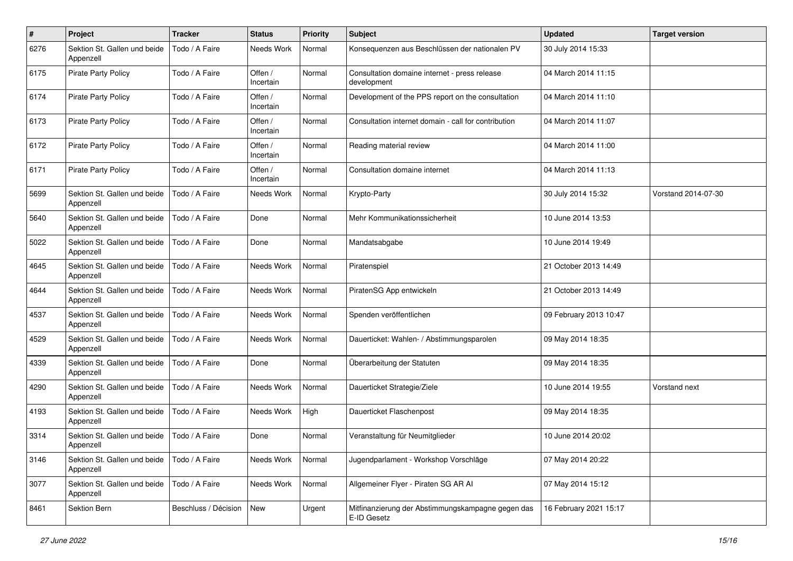| $\pmb{\#}$ | Project                                   | <b>Tracker</b>       | <b>Status</b>        | <b>Priority</b> | <b>Subject</b>                                                   | <b>Updated</b>         | <b>Target version</b> |
|------------|-------------------------------------------|----------------------|----------------------|-----------------|------------------------------------------------------------------|------------------------|-----------------------|
| 6276       | Sektion St. Gallen und beide<br>Appenzell | Todo / A Faire       | Needs Work           | Normal          | Konsequenzen aus Beschlüssen der nationalen PV                   | 30 July 2014 15:33     |                       |
| 6175       | <b>Pirate Party Policy</b>                | Todo / A Faire       | Offen /<br>Incertain | Normal          | Consultation domaine internet - press release<br>development     | 04 March 2014 11:15    |                       |
| 6174       | <b>Pirate Party Policy</b>                | Todo / A Faire       | Offen /<br>Incertain | Normal          | Development of the PPS report on the consultation                | 04 March 2014 11:10    |                       |
| 6173       | <b>Pirate Party Policy</b>                | Todo / A Faire       | Offen /<br>Incertain | Normal          | Consultation internet domain - call for contribution             | 04 March 2014 11:07    |                       |
| 6172       | Pirate Party Policy                       | Todo / A Faire       | Offen /<br>Incertain | Normal          | Reading material review                                          | 04 March 2014 11:00    |                       |
| 6171       | Pirate Party Policy                       | Todo / A Faire       | Offen /<br>Incertain | Normal          | Consultation domaine internet                                    | 04 March 2014 11:13    |                       |
| 5699       | Sektion St. Gallen und beide<br>Appenzell | Todo / A Faire       | Needs Work           | Normal          | Krypto-Party                                                     | 30 July 2014 15:32     | Vorstand 2014-07-30   |
| 5640       | Sektion St. Gallen und beide<br>Appenzell | Todo / A Faire       | Done                 | Normal          | Mehr Kommunikationssicherheit                                    | 10 June 2014 13:53     |                       |
| 5022       | Sektion St. Gallen und beide<br>Appenzell | Todo / A Faire       | Done                 | Normal          | Mandatsabgabe                                                    | 10 June 2014 19:49     |                       |
| 4645       | Sektion St. Gallen und beide<br>Appenzell | Todo / A Faire       | Needs Work           | Normal          | Piratenspiel                                                     | 21 October 2013 14:49  |                       |
| 4644       | Sektion St. Gallen und beide<br>Appenzell | Todo / A Faire       | Needs Work           | Normal          | PiratenSG App entwickeln                                         | 21 October 2013 14:49  |                       |
| 4537       | Sektion St. Gallen und beide<br>Appenzell | Todo / A Faire       | Needs Work           | Normal          | Spenden veröffentlichen                                          | 09 February 2013 10:47 |                       |
| 4529       | Sektion St. Gallen und beide<br>Appenzell | Todo / A Faire       | Needs Work           | Normal          | Dauerticket: Wahlen- / Abstimmungsparolen                        | 09 May 2014 18:35      |                       |
| 4339       | Sektion St. Gallen und beide<br>Appenzell | Todo / A Faire       | Done                 | Normal          | Überarbeitung der Statuten                                       | 09 May 2014 18:35      |                       |
| 4290       | Sektion St. Gallen und beide<br>Appenzell | Todo / A Faire       | Needs Work           | Normal          | Dauerticket Strategie/Ziele                                      | 10 June 2014 19:55     | Vorstand next         |
| 4193       | Sektion St. Gallen und beide<br>Appenzell | Todo / A Faire       | Needs Work           | High            | Dauerticket Flaschenpost                                         | 09 May 2014 18:35      |                       |
| 3314       | Sektion St. Gallen und beide<br>Appenzell | Todo / A Faire       | Done                 | Normal          | Veranstaltung für Neumitglieder                                  | 10 June 2014 20:02     |                       |
| 3146       | Sektion St. Gallen und beide<br>Appenzell | Todo / A Faire       | Needs Work           | Normal          | Jugendparlament - Workshop Vorschläge                            | 07 May 2014 20:22      |                       |
| 3077       | Sektion St. Gallen und beide<br>Appenzell | Todo / A Faire       | Needs Work           | Normal          | Allgemeiner Flyer - Piraten SG AR Al                             | 07 May 2014 15:12      |                       |
| 8461       | Sektion Bern                              | Beschluss / Décision | New                  | Urgent          | Mitfinanzierung der Abstimmungskampagne gegen das<br>E-ID Gesetz | 16 February 2021 15:17 |                       |